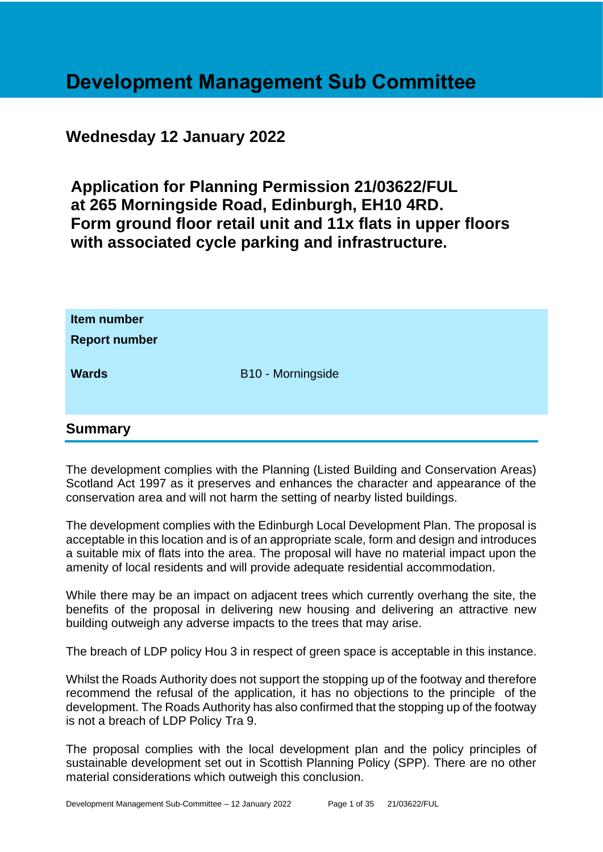## **Development Management Sub Committee**

## **Wednesday 12 January 2022**

**Application for Planning Permission 21/03622/FUL at 265 Morningside Road, Edinburgh, EH10 4RD. Form ground floor retail unit and 11x flats in upper floors with associated cycle parking and infrastructure.**

| Item number<br><b>Report number</b> |                   |
|-------------------------------------|-------------------|
| <b>Wards</b>                        | B10 - Morningside |
|                                     |                   |
| <b>Summary</b>                      |                   |

The development complies with the Planning (Listed Building and Conservation Areas) Scotland Act 1997 as it preserves and enhances the character and appearance of the conservation area and will not harm the setting of nearby listed buildings.

The development complies with the Edinburgh Local Development Plan. The proposal is acceptable in this location and is of an appropriate scale, form and design and introduces a suitable mix of flats into the area. The proposal will have no material impact upon the amenity of local residents and will provide adequate residential accommodation.

While there may be an impact on adjacent trees which currently overhang the site, the benefits of the proposal in delivering new housing and delivering an attractive new building outweigh any adverse impacts to the trees that may arise.

The breach of LDP policy Hou 3 in respect of green space is acceptable in this instance.

Whilst the Roads Authority does not support the stopping up of the footway and therefore recommend the refusal of the application, it has no objections to the principle of the development. The Roads Authority has also confirmed that the stopping up of the footway is not a breach of LDP Policy Tra 9.

The proposal complies with the local development plan and the policy principles of sustainable development set out in Scottish Planning Policy (SPP). There are no other material considerations which outweigh this conclusion.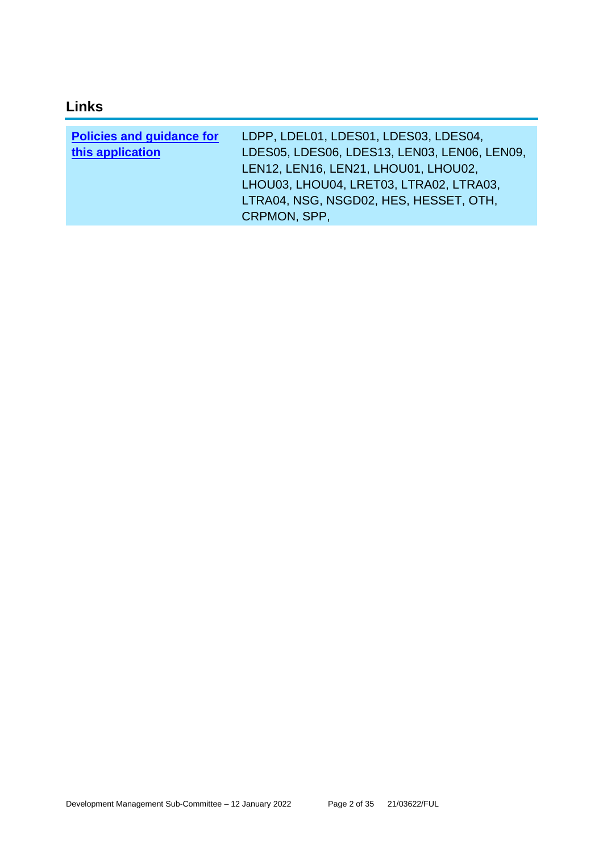## **Links**

| <b>Policies and guidance for</b> | LDPP, LDEL01, LDES01, LDES03, LDES04,        |
|----------------------------------|----------------------------------------------|
| this application                 | LDES05, LDES06, LDES13, LEN03, LEN06, LEN09, |
|                                  | LEN12, LEN16, LEN21, LHOU01, LHOU02,         |
|                                  | LHOU03, LHOU04, LRET03, LTRA02, LTRA03,      |
|                                  | LTRA04, NSG, NSGD02, HES, HESSET, OTH,       |
|                                  | CRPMON, SPP,                                 |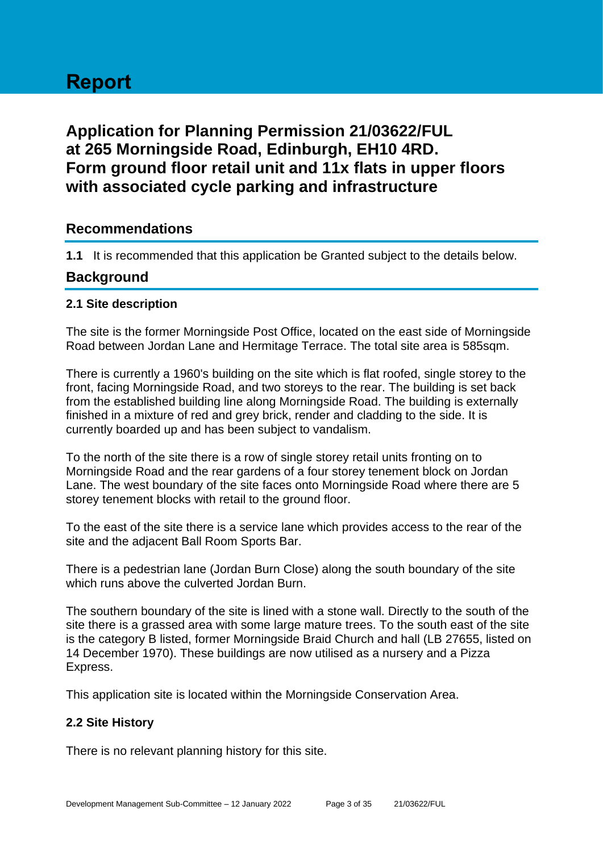# **Report**

## **Application for Planning Permission 21/03622/FUL at 265 Morningside Road, Edinburgh, EH10 4RD. Form ground floor retail unit and 11x flats in upper floors with associated cycle parking and infrastructure**

## **Recommendations**

**1.1** It is recommended that this application be Granted subject to the details below.

### **Background**

#### **2.1 Site description**

The site is the former Morningside Post Office, located on the east side of Morningside Road between Jordan Lane and Hermitage Terrace. The total site area is 585sqm.

There is currently a 1960's building on the site which is flat roofed, single storey to the front, facing Morningside Road, and two storeys to the rear. The building is set back from the established building line along Morningside Road. The building is externally finished in a mixture of red and grey brick, render and cladding to the side. It is currently boarded up and has been subject to vandalism.

To the north of the site there is a row of single storey retail units fronting on to Morningside Road and the rear gardens of a four storey tenement block on Jordan Lane. The west boundary of the site faces onto Morningside Road where there are 5 storey tenement blocks with retail to the ground floor.

To the east of the site there is a service lane which provides access to the rear of the site and the adjacent Ball Room Sports Bar.

There is a pedestrian lane (Jordan Burn Close) along the south boundary of the site which runs above the culverted Jordan Burn.

The southern boundary of the site is lined with a stone wall. Directly to the south of the site there is a grassed area with some large mature trees. To the south east of the site is the category B listed, former Morningside Braid Church and hall (LB 27655, listed on 14 December 1970). These buildings are now utilised as a nursery and a Pizza Express.

This application site is located within the Morningside Conservation Area.

#### **2.2 Site History**

There is no relevant planning history for this site.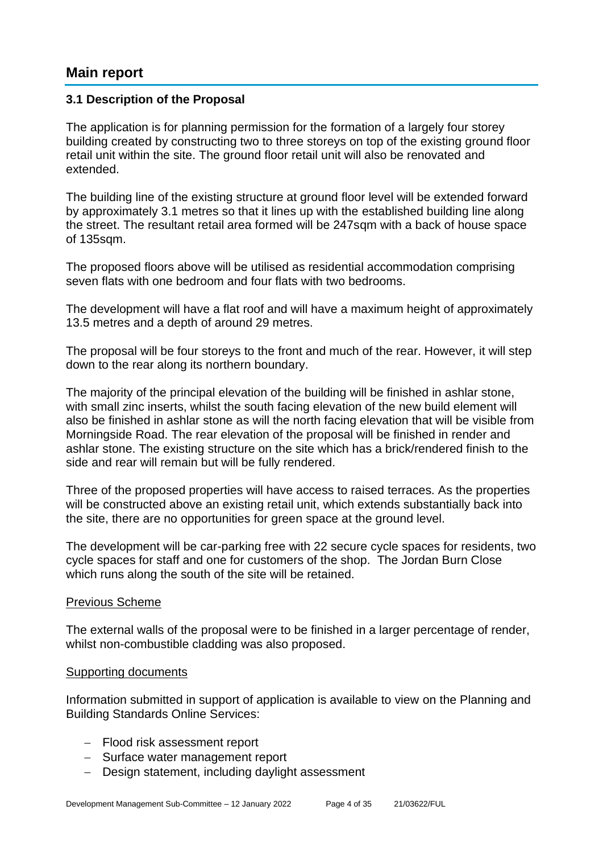## **Main report**

#### **3.1 Description of the Proposal**

The application is for planning permission for the formation of a largely four storey building created by constructing two to three storeys on top of the existing ground floor retail unit within the site. The ground floor retail unit will also be renovated and extended.

The building line of the existing structure at ground floor level will be extended forward by approximately 3.1 metres so that it lines up with the established building line along the street. The resultant retail area formed will be 247sqm with a back of house space of 135sqm.

The proposed floors above will be utilised as residential accommodation comprising seven flats with one bedroom and four flats with two bedrooms.

The development will have a flat roof and will have a maximum height of approximately 13.5 metres and a depth of around 29 metres.

The proposal will be four storeys to the front and much of the rear. However, it will step down to the rear along its northern boundary.

The majority of the principal elevation of the building will be finished in ashlar stone, with small zinc inserts, whilst the south facing elevation of the new build element will also be finished in ashlar stone as will the north facing elevation that will be visible from Morningside Road. The rear elevation of the proposal will be finished in render and ashlar stone. The existing structure on the site which has a brick/rendered finish to the side and rear will remain but will be fully rendered.

Three of the proposed properties will have access to raised terraces. As the properties will be constructed above an existing retail unit, which extends substantially back into the site, there are no opportunities for green space at the ground level.

The development will be car-parking free with 22 secure cycle spaces for residents, two cycle spaces for staff and one for customers of the shop. The Jordan Burn Close which runs along the south of the site will be retained.

#### Previous Scheme

The external walls of the proposal were to be finished in a larger percentage of render, whilst non-combustible cladding was also proposed.

#### Supporting documents

Information submitted in support of application is available to view on the Planning and Building Standards Online Services:

- − Flood risk assessment report
- − Surface water management report
- − Design statement, including daylight assessment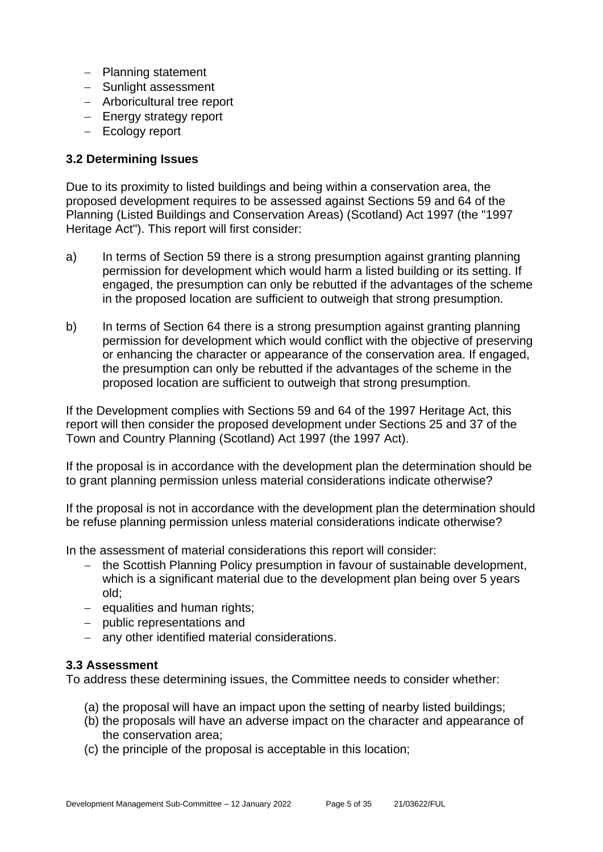- − Planning statement
- − Sunlight assessment
- − Arboricultural tree report
- − Energy strategy report
- − Ecology report

#### **3.2 Determining Issues**

Due to its proximity to listed buildings and being within a conservation area, the proposed development requires to be assessed against Sections 59 and 64 of the Planning (Listed Buildings and Conservation Areas) (Scotland) Act 1997 (the "1997 Heritage Act"). This report will first consider:

- a) In terms of Section 59 there is a strong presumption against granting planning permission for development which would harm a listed building or its setting. If engaged, the presumption can only be rebutted if the advantages of the scheme in the proposed location are sufficient to outweigh that strong presumption.
- b) In terms of Section 64 there is a strong presumption against granting planning permission for development which would conflict with the objective of preserving or enhancing the character or appearance of the conservation area. If engaged, the presumption can only be rebutted if the advantages of the scheme in the proposed location are sufficient to outweigh that strong presumption.

If the Development complies with Sections 59 and 64 of the 1997 Heritage Act, this report will then consider the proposed development under Sections 25 and 37 of the Town and Country Planning (Scotland) Act 1997 (the 1997 Act).

If the proposal is in accordance with the development plan the determination should be to grant planning permission unless material considerations indicate otherwise?

If the proposal is not in accordance with the development plan the determination should be refuse planning permission unless material considerations indicate otherwise?

In the assessment of material considerations this report will consider:

- − the Scottish Planning Policy presumption in favour of sustainable development, which is a significant material due to the development plan being over 5 years old;
- − equalities and human rights;
- − public representations and
- − any other identified material considerations.

#### **3.3 Assessment**

To address these determining issues, the Committee needs to consider whether:

- (a) the proposal will have an impact upon the setting of nearby listed buildings;
- (b) the proposals will have an adverse impact on the character and appearance of the conservation area;
- (c) the principle of the proposal is acceptable in this location;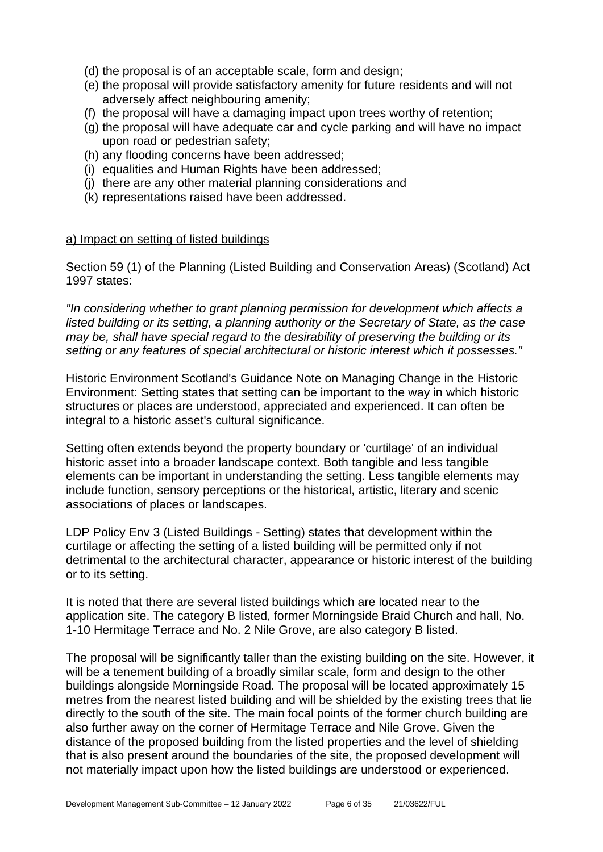- (d) the proposal is of an acceptable scale, form and design;
- (e) the proposal will provide satisfactory amenity for future residents and will not adversely affect neighbouring amenity;
- (f) the proposal will have a damaging impact upon trees worthy of retention;
- (g) the proposal will have adequate car and cycle parking and will have no impact upon road or pedestrian safety;
- (h) any flooding concerns have been addressed;
- (i) equalities and Human Rights have been addressed;
- (j) there are any other material planning considerations and
- (k) representations raised have been addressed.

#### a) Impact on setting of listed buildings

Section 59 (1) of the Planning (Listed Building and Conservation Areas) (Scotland) Act 1997 states:

*"In considering whether to grant planning permission for development which affects a listed building or its setting, a planning authority or the Secretary of State, as the case may be, shall have special regard to the desirability of preserving the building or its setting or any features of special architectural or historic interest which it possesses."*

Historic Environment Scotland's Guidance Note on Managing Change in the Historic Environment: Setting states that setting can be important to the way in which historic structures or places are understood, appreciated and experienced. It can often be integral to a historic asset's cultural significance.

Setting often extends beyond the property boundary or 'curtilage' of an individual historic asset into a broader landscape context. Both tangible and less tangible elements can be important in understanding the setting. Less tangible elements may include function, sensory perceptions or the historical, artistic, literary and scenic associations of places or landscapes.

LDP Policy Env 3 (Listed Buildings - Setting) states that development within the curtilage or affecting the setting of a listed building will be permitted only if not detrimental to the architectural character, appearance or historic interest of the building or to its setting.

It is noted that there are several listed buildings which are located near to the application site. The category B listed, former Morningside Braid Church and hall, No. 1-10 Hermitage Terrace and No. 2 Nile Grove, are also category B listed.

The proposal will be significantly taller than the existing building on the site. However, it will be a tenement building of a broadly similar scale, form and design to the other buildings alongside Morningside Road. The proposal will be located approximately 15 metres from the nearest listed building and will be shielded by the existing trees that lie directly to the south of the site. The main focal points of the former church building are also further away on the corner of Hermitage Terrace and Nile Grove. Given the distance of the proposed building from the listed properties and the level of shielding that is also present around the boundaries of the site, the proposed development will not materially impact upon how the listed buildings are understood or experienced.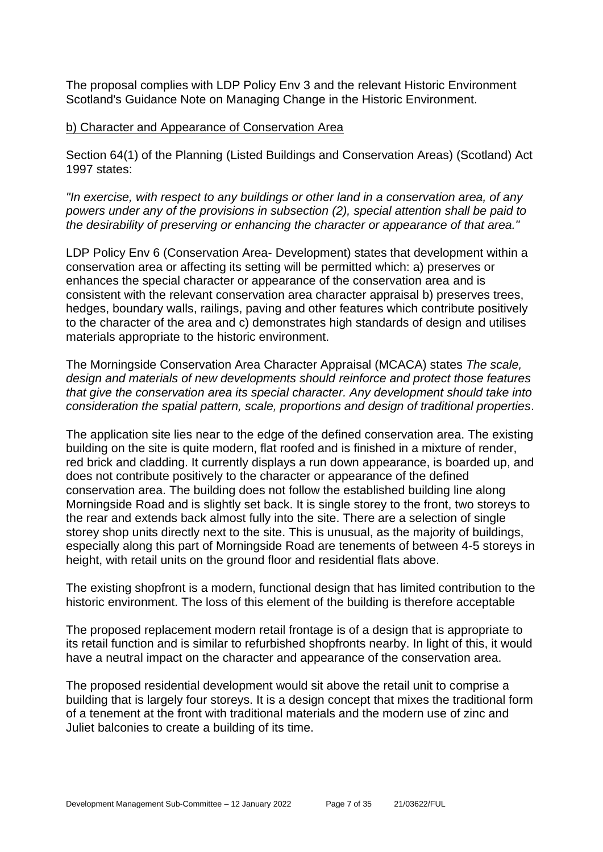The proposal complies with LDP Policy Env 3 and the relevant Historic Environment Scotland's Guidance Note on Managing Change in the Historic Environment.

#### b) Character and Appearance of Conservation Area

Section 64(1) of the Planning (Listed Buildings and Conservation Areas) (Scotland) Act 1997 states:

*"In exercise, with respect to any buildings or other land in a conservation area, of any powers under any of the provisions in subsection (2), special attention shall be paid to the desirability of preserving or enhancing the character or appearance of that area."*

LDP Policy Env 6 (Conservation Area- Development) states that development within a conservation area or affecting its setting will be permitted which: a) preserves or enhances the special character or appearance of the conservation area and is consistent with the relevant conservation area character appraisal b) preserves trees, hedges, boundary walls, railings, paving and other features which contribute positively to the character of the area and c) demonstrates high standards of design and utilises materials appropriate to the historic environment.

The Morningside Conservation Area Character Appraisal (MCACA) states *The scale, design and materials of new developments should reinforce and protect those features that give the conservation area its special character. Any development should take into consideration the spatial pattern, scale, proportions and design of traditional properties*.

The application site lies near to the edge of the defined conservation area. The existing building on the site is quite modern, flat roofed and is finished in a mixture of render, red brick and cladding. It currently displays a run down appearance, is boarded up, and does not contribute positively to the character or appearance of the defined conservation area. The building does not follow the established building line along Morningside Road and is slightly set back. It is single storey to the front, two storeys to the rear and extends back almost fully into the site. There are a selection of single storey shop units directly next to the site. This is unusual, as the majority of buildings, especially along this part of Morningside Road are tenements of between 4-5 storeys in height, with retail units on the ground floor and residential flats above.

The existing shopfront is a modern, functional design that has limited contribution to the historic environment. The loss of this element of the building is therefore acceptable

The proposed replacement modern retail frontage is of a design that is appropriate to its retail function and is similar to refurbished shopfronts nearby. In light of this, it would have a neutral impact on the character and appearance of the conservation area.

The proposed residential development would sit above the retail unit to comprise a building that is largely four storeys. It is a design concept that mixes the traditional form of a tenement at the front with traditional materials and the modern use of zinc and Juliet balconies to create a building of its time.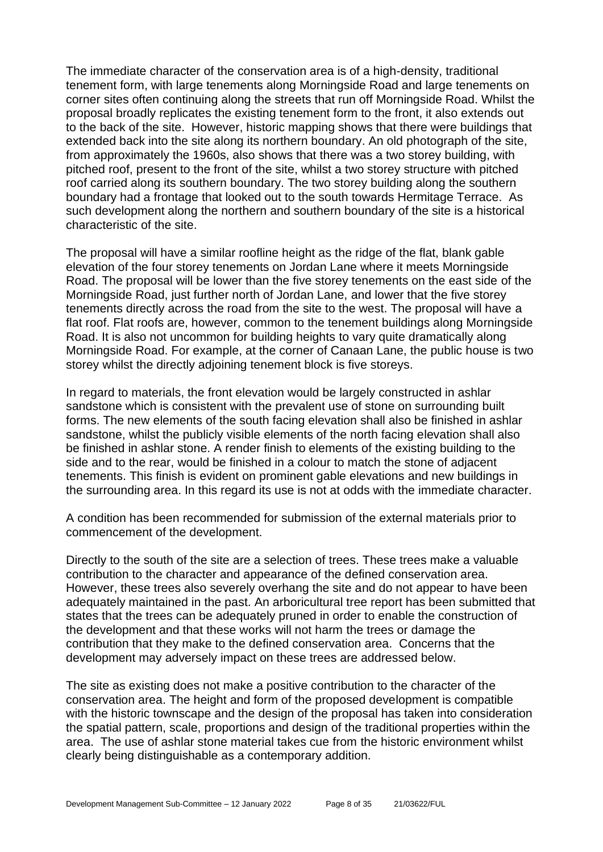The immediate character of the conservation area is of a high-density, traditional tenement form, with large tenements along Morningside Road and large tenements on corner sites often continuing along the streets that run off Morningside Road. Whilst the proposal broadly replicates the existing tenement form to the front, it also extends out to the back of the site. However, historic mapping shows that there were buildings that extended back into the site along its northern boundary. An old photograph of the site, from approximately the 1960s, also shows that there was a two storey building, with pitched roof, present to the front of the site, whilst a two storey structure with pitched roof carried along its southern boundary. The two storey building along the southern boundary had a frontage that looked out to the south towards Hermitage Terrace. As such development along the northern and southern boundary of the site is a historical characteristic of the site.

The proposal will have a similar roofline height as the ridge of the flat, blank gable elevation of the four storey tenements on Jordan Lane where it meets Morningside Road. The proposal will be lower than the five storey tenements on the east side of the Morningside Road, just further north of Jordan Lane, and lower that the five storey tenements directly across the road from the site to the west. The proposal will have a flat roof. Flat roofs are, however, common to the tenement buildings along Morningside Road. It is also not uncommon for building heights to vary quite dramatically along Morningside Road. For example, at the corner of Canaan Lane, the public house is two storey whilst the directly adjoining tenement block is five storeys.

In regard to materials, the front elevation would be largely constructed in ashlar sandstone which is consistent with the prevalent use of stone on surrounding built forms. The new elements of the south facing elevation shall also be finished in ashlar sandstone, whilst the publicly visible elements of the north facing elevation shall also be finished in ashlar stone. A render finish to elements of the existing building to the side and to the rear, would be finished in a colour to match the stone of adjacent tenements. This finish is evident on prominent gable elevations and new buildings in the surrounding area. In this regard its use is not at odds with the immediate character.

A condition has been recommended for submission of the external materials prior to commencement of the development.

Directly to the south of the site are a selection of trees. These trees make a valuable contribution to the character and appearance of the defined conservation area. However, these trees also severely overhang the site and do not appear to have been adequately maintained in the past. An arboricultural tree report has been submitted that states that the trees can be adequately pruned in order to enable the construction of the development and that these works will not harm the trees or damage the contribution that they make to the defined conservation area. Concerns that the development may adversely impact on these trees are addressed below.

The site as existing does not make a positive contribution to the character of the conservation area. The height and form of the proposed development is compatible with the historic townscape and the design of the proposal has taken into consideration the spatial pattern, scale, proportions and design of the traditional properties within the area. The use of ashlar stone material takes cue from the historic environment whilst clearly being distinguishable as a contemporary addition.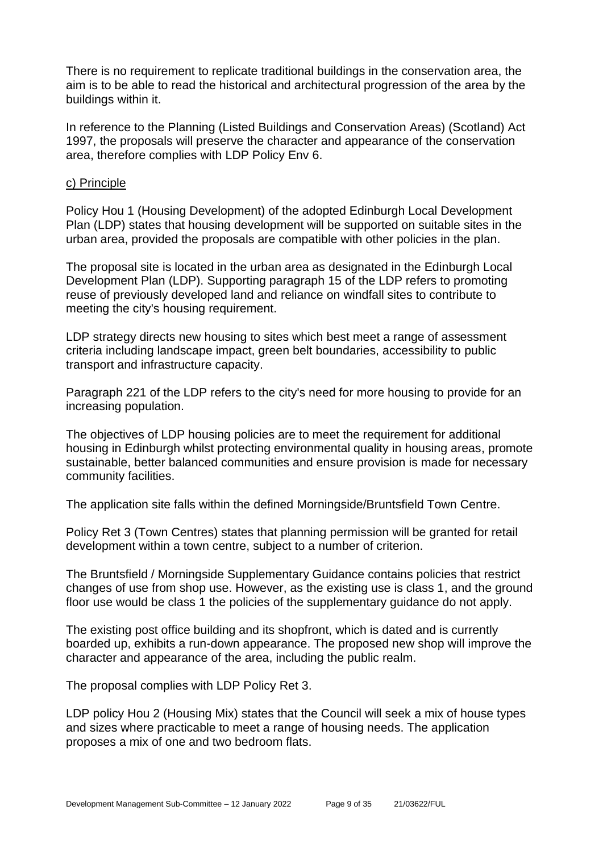There is no requirement to replicate traditional buildings in the conservation area, the aim is to be able to read the historical and architectural progression of the area by the buildings within it.

In reference to the Planning (Listed Buildings and Conservation Areas) (Scotland) Act 1997, the proposals will preserve the character and appearance of the conservation area, therefore complies with LDP Policy Env 6.

#### c) Principle

Policy Hou 1 (Housing Development) of the adopted Edinburgh Local Development Plan (LDP) states that housing development will be supported on suitable sites in the urban area, provided the proposals are compatible with other policies in the plan.

The proposal site is located in the urban area as designated in the Edinburgh Local Development Plan (LDP). Supporting paragraph 15 of the LDP refers to promoting reuse of previously developed land and reliance on windfall sites to contribute to meeting the city's housing requirement.

LDP strategy directs new housing to sites which best meet a range of assessment criteria including landscape impact, green belt boundaries, accessibility to public transport and infrastructure capacity.

Paragraph 221 of the LDP refers to the city's need for more housing to provide for an increasing population.

The objectives of LDP housing policies are to meet the requirement for additional housing in Edinburgh whilst protecting environmental quality in housing areas, promote sustainable, better balanced communities and ensure provision is made for necessary community facilities.

The application site falls within the defined Morningside/Bruntsfield Town Centre.

Policy Ret 3 (Town Centres) states that planning permission will be granted for retail development within a town centre, subject to a number of criterion.

The Bruntsfield / Morningside Supplementary Guidance contains policies that restrict changes of use from shop use. However, as the existing use is class 1, and the ground floor use would be class 1 the policies of the supplementary guidance do not apply.

The existing post office building and its shopfront, which is dated and is currently boarded up, exhibits a run-down appearance. The proposed new shop will improve the character and appearance of the area, including the public realm.

The proposal complies with LDP Policy Ret 3.

LDP policy Hou 2 (Housing Mix) states that the Council will seek a mix of house types and sizes where practicable to meet a range of housing needs. The application proposes a mix of one and two bedroom flats.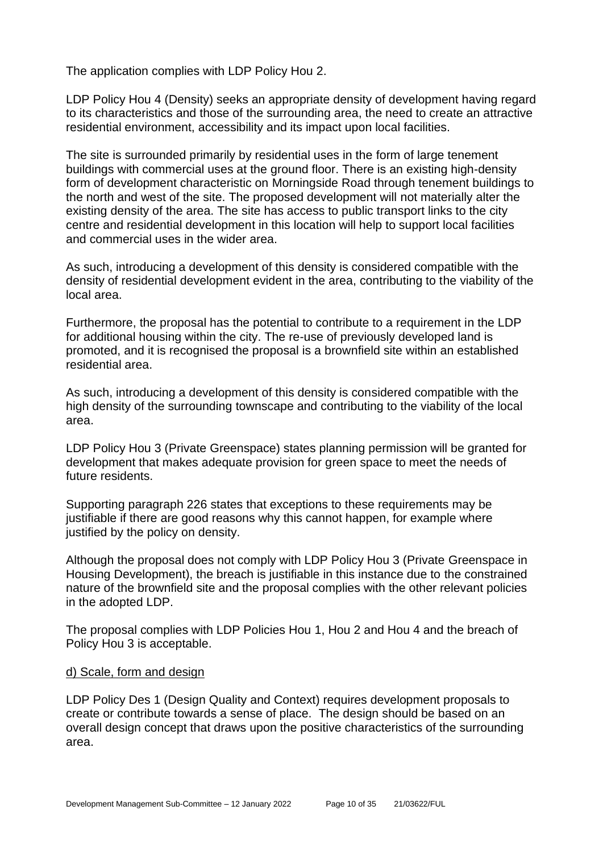The application complies with LDP Policy Hou 2.

LDP Policy Hou 4 (Density) seeks an appropriate density of development having regard to its characteristics and those of the surrounding area, the need to create an attractive residential environment, accessibility and its impact upon local facilities.

The site is surrounded primarily by residential uses in the form of large tenement buildings with commercial uses at the ground floor. There is an existing high-density form of development characteristic on Morningside Road through tenement buildings to the north and west of the site. The proposed development will not materially alter the existing density of the area. The site has access to public transport links to the city centre and residential development in this location will help to support local facilities and commercial uses in the wider area.

As such, introducing a development of this density is considered compatible with the density of residential development evident in the area, contributing to the viability of the local area.

Furthermore, the proposal has the potential to contribute to a requirement in the LDP for additional housing within the city. The re-use of previously developed land is promoted, and it is recognised the proposal is a brownfield site within an established residential area.

As such, introducing a development of this density is considered compatible with the high density of the surrounding townscape and contributing to the viability of the local area.

LDP Policy Hou 3 (Private Greenspace) states planning permission will be granted for development that makes adequate provision for green space to meet the needs of future residents.

Supporting paragraph 226 states that exceptions to these requirements may be justifiable if there are good reasons why this cannot happen, for example where justified by the policy on density.

Although the proposal does not comply with LDP Policy Hou 3 (Private Greenspace in Housing Development), the breach is justifiable in this instance due to the constrained nature of the brownfield site and the proposal complies with the other relevant policies in the adopted LDP.

The proposal complies with LDP Policies Hou 1, Hou 2 and Hou 4 and the breach of Policy Hou 3 is acceptable.

#### d) Scale, form and design

LDP Policy Des 1 (Design Quality and Context) requires development proposals to create or contribute towards a sense of place. The design should be based on an overall design concept that draws upon the positive characteristics of the surrounding area.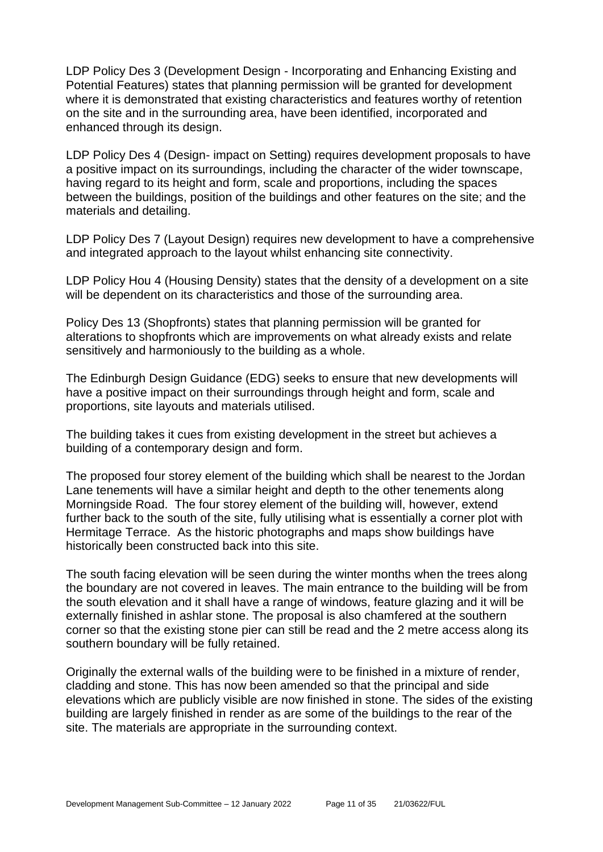LDP Policy Des 3 (Development Design - Incorporating and Enhancing Existing and Potential Features) states that planning permission will be granted for development where it is demonstrated that existing characteristics and features worthy of retention on the site and in the surrounding area, have been identified, incorporated and enhanced through its design.

LDP Policy Des 4 (Design- impact on Setting) requires development proposals to have a positive impact on its surroundings, including the character of the wider townscape, having regard to its height and form, scale and proportions, including the spaces between the buildings, position of the buildings and other features on the site; and the materials and detailing.

LDP Policy Des 7 (Layout Design) requires new development to have a comprehensive and integrated approach to the layout whilst enhancing site connectivity.

LDP Policy Hou 4 (Housing Density) states that the density of a development on a site will be dependent on its characteristics and those of the surrounding area.

Policy Des 13 (Shopfronts) states that planning permission will be granted for alterations to shopfronts which are improvements on what already exists and relate sensitively and harmoniously to the building as a whole.

The Edinburgh Design Guidance (EDG) seeks to ensure that new developments will have a positive impact on their surroundings through height and form, scale and proportions, site layouts and materials utilised.

The building takes it cues from existing development in the street but achieves a building of a contemporary design and form.

The proposed four storey element of the building which shall be nearest to the Jordan Lane tenements will have a similar height and depth to the other tenements along Morningside Road. The four storey element of the building will, however, extend further back to the south of the site, fully utilising what is essentially a corner plot with Hermitage Terrace. As the historic photographs and maps show buildings have historically been constructed back into this site.

The south facing elevation will be seen during the winter months when the trees along the boundary are not covered in leaves. The main entrance to the building will be from the south elevation and it shall have a range of windows, feature glazing and it will be externally finished in ashlar stone. The proposal is also chamfered at the southern corner so that the existing stone pier can still be read and the 2 metre access along its southern boundary will be fully retained.

Originally the external walls of the building were to be finished in a mixture of render, cladding and stone. This has now been amended so that the principal and side elevations which are publicly visible are now finished in stone. The sides of the existing building are largely finished in render as are some of the buildings to the rear of the site. The materials are appropriate in the surrounding context.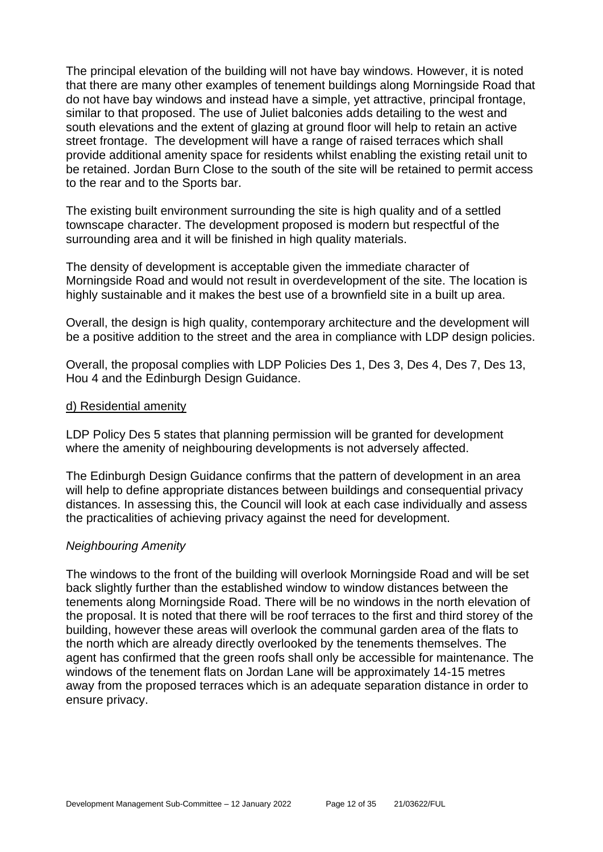The principal elevation of the building will not have bay windows. However, it is noted that there are many other examples of tenement buildings along Morningside Road that do not have bay windows and instead have a simple, yet attractive, principal frontage, similar to that proposed. The use of Juliet balconies adds detailing to the west and south elevations and the extent of glazing at ground floor will help to retain an active street frontage. The development will have a range of raised terraces which shall provide additional amenity space for residents whilst enabling the existing retail unit to be retained. Jordan Burn Close to the south of the site will be retained to permit access to the rear and to the Sports bar.

The existing built environment surrounding the site is high quality and of a settled townscape character. The development proposed is modern but respectful of the surrounding area and it will be finished in high quality materials.

The density of development is acceptable given the immediate character of Morningside Road and would not result in overdevelopment of the site. The location is highly sustainable and it makes the best use of a brownfield site in a built up area.

Overall, the design is high quality, contemporary architecture and the development will be a positive addition to the street and the area in compliance with LDP design policies.

Overall, the proposal complies with LDP Policies Des 1, Des 3, Des 4, Des 7, Des 13, Hou 4 and the Edinburgh Design Guidance.

#### d) Residential amenity

LDP Policy Des 5 states that planning permission will be granted for development where the amenity of neighbouring developments is not adversely affected.

The Edinburgh Design Guidance confirms that the pattern of development in an area will help to define appropriate distances between buildings and consequential privacy distances. In assessing this, the Council will look at each case individually and assess the practicalities of achieving privacy against the need for development.

#### *Neighbouring Amenity*

The windows to the front of the building will overlook Morningside Road and will be set back slightly further than the established window to window distances between the tenements along Morningside Road. There will be no windows in the north elevation of the proposal. It is noted that there will be roof terraces to the first and third storey of the building, however these areas will overlook the communal garden area of the flats to the north which are already directly overlooked by the tenements themselves. The agent has confirmed that the green roofs shall only be accessible for maintenance. The windows of the tenement flats on Jordan Lane will be approximately 14-15 metres away from the proposed terraces which is an adequate separation distance in order to ensure privacy.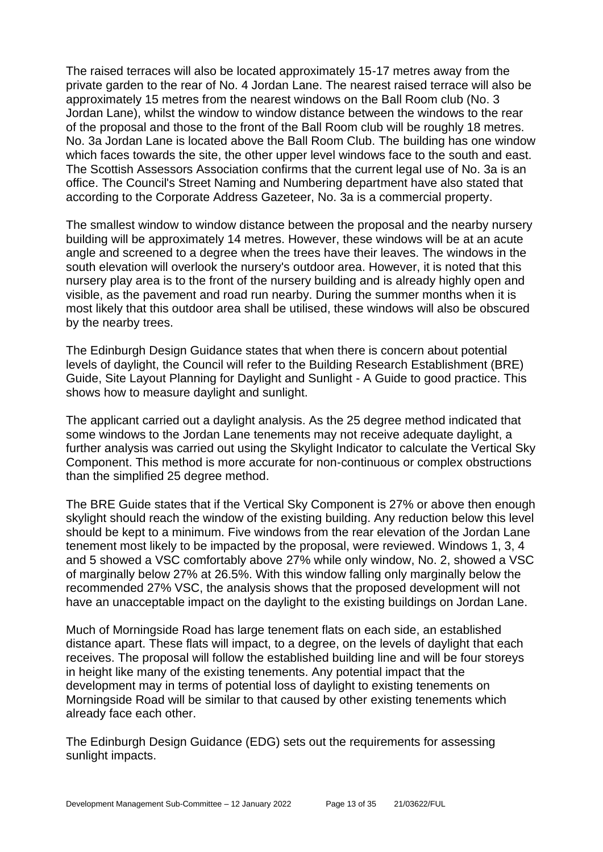The raised terraces will also be located approximately 15-17 metres away from the private garden to the rear of No. 4 Jordan Lane. The nearest raised terrace will also be approximately 15 metres from the nearest windows on the Ball Room club (No. 3 Jordan Lane), whilst the window to window distance between the windows to the rear of the proposal and those to the front of the Ball Room club will be roughly 18 metres. No. 3a Jordan Lane is located above the Ball Room Club. The building has one window which faces towards the site, the other upper level windows face to the south and east. The Scottish Assessors Association confirms that the current legal use of No. 3a is an office. The Council's Street Naming and Numbering department have also stated that according to the Corporate Address Gazeteer, No. 3a is a commercial property.

The smallest window to window distance between the proposal and the nearby nursery building will be approximately 14 metres. However, these windows will be at an acute angle and screened to a degree when the trees have their leaves. The windows in the south elevation will overlook the nursery's outdoor area. However, it is noted that this nursery play area is to the front of the nursery building and is already highly open and visible, as the pavement and road run nearby. During the summer months when it is most likely that this outdoor area shall be utilised, these windows will also be obscured by the nearby trees.

The Edinburgh Design Guidance states that when there is concern about potential levels of daylight, the Council will refer to the Building Research Establishment (BRE) Guide, Site Layout Planning for Daylight and Sunlight - A Guide to good practice. This shows how to measure daylight and sunlight.

The applicant carried out a daylight analysis. As the 25 degree method indicated that some windows to the Jordan Lane tenements may not receive adequate daylight, a further analysis was carried out using the Skylight Indicator to calculate the Vertical Sky Component. This method is more accurate for non-continuous or complex obstructions than the simplified 25 degree method.

The BRE Guide states that if the Vertical Sky Component is 27% or above then enough skylight should reach the window of the existing building. Any reduction below this level should be kept to a minimum. Five windows from the rear elevation of the Jordan Lane tenement most likely to be impacted by the proposal, were reviewed. Windows 1, 3, 4 and 5 showed a VSC comfortably above 27% while only window, No. 2, showed a VSC of marginally below 27% at 26.5%. With this window falling only marginally below the recommended 27% VSC, the analysis shows that the proposed development will not have an unacceptable impact on the daylight to the existing buildings on Jordan Lane.

Much of Morningside Road has large tenement flats on each side, an established distance apart. These flats will impact, to a degree, on the levels of daylight that each receives. The proposal will follow the established building line and will be four storeys in height like many of the existing tenements. Any potential impact that the development may in terms of potential loss of daylight to existing tenements on Morningside Road will be similar to that caused by other existing tenements which already face each other.

The Edinburgh Design Guidance (EDG) sets out the requirements for assessing sunlight impacts.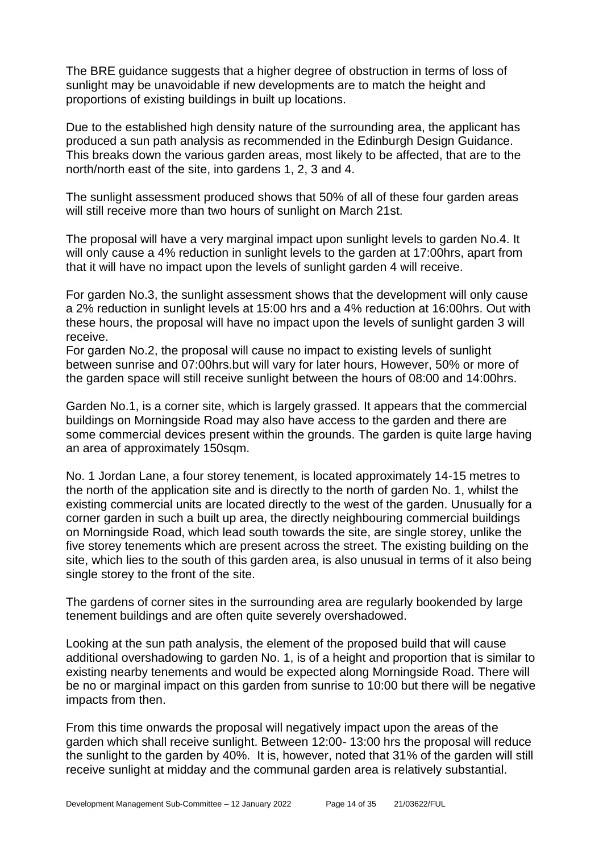The BRE guidance suggests that a higher degree of obstruction in terms of loss of sunlight may be unavoidable if new developments are to match the height and proportions of existing buildings in built up locations.

Due to the established high density nature of the surrounding area, the applicant has produced a sun path analysis as recommended in the Edinburgh Design Guidance. This breaks down the various garden areas, most likely to be affected, that are to the north/north east of the site, into gardens 1, 2, 3 and 4.

The sunlight assessment produced shows that 50% of all of these four garden areas will still receive more than two hours of sunlight on March 21st.

The proposal will have a very marginal impact upon sunlight levels to garden No.4. It will only cause a 4% reduction in sunlight levels to the garden at 17:00hrs, apart from that it will have no impact upon the levels of sunlight garden 4 will receive.

For garden No.3, the sunlight assessment shows that the development will only cause a 2% reduction in sunlight levels at 15:00 hrs and a 4% reduction at 16:00hrs. Out with these hours, the proposal will have no impact upon the levels of sunlight garden 3 will receive.

For garden No.2, the proposal will cause no impact to existing levels of sunlight between sunrise and 07:00hrs.but will vary for later hours, However, 50% or more of the garden space will still receive sunlight between the hours of 08:00 and 14:00hrs.

Garden No.1, is a corner site, which is largely grassed. It appears that the commercial buildings on Morningside Road may also have access to the garden and there are some commercial devices present within the grounds. The garden is quite large having an area of approximately 150sqm.

No. 1 Jordan Lane, a four storey tenement, is located approximately 14-15 metres to the north of the application site and is directly to the north of garden No. 1, whilst the existing commercial units are located directly to the west of the garden. Unusually for a corner garden in such a built up area, the directly neighbouring commercial buildings on Morningside Road, which lead south towards the site, are single storey, unlike the five storey tenements which are present across the street. The existing building on the site, which lies to the south of this garden area, is also unusual in terms of it also being single storey to the front of the site.

The gardens of corner sites in the surrounding area are regularly bookended by large tenement buildings and are often quite severely overshadowed.

Looking at the sun path analysis, the element of the proposed build that will cause additional overshadowing to garden No. 1, is of a height and proportion that is similar to existing nearby tenements and would be expected along Morningside Road. There will be no or marginal impact on this garden from sunrise to 10:00 but there will be negative impacts from then.

From this time onwards the proposal will negatively impact upon the areas of the garden which shall receive sunlight. Between 12:00- 13:00 hrs the proposal will reduce the sunlight to the garden by 40%. It is, however, noted that 31% of the garden will still receive sunlight at midday and the communal garden area is relatively substantial.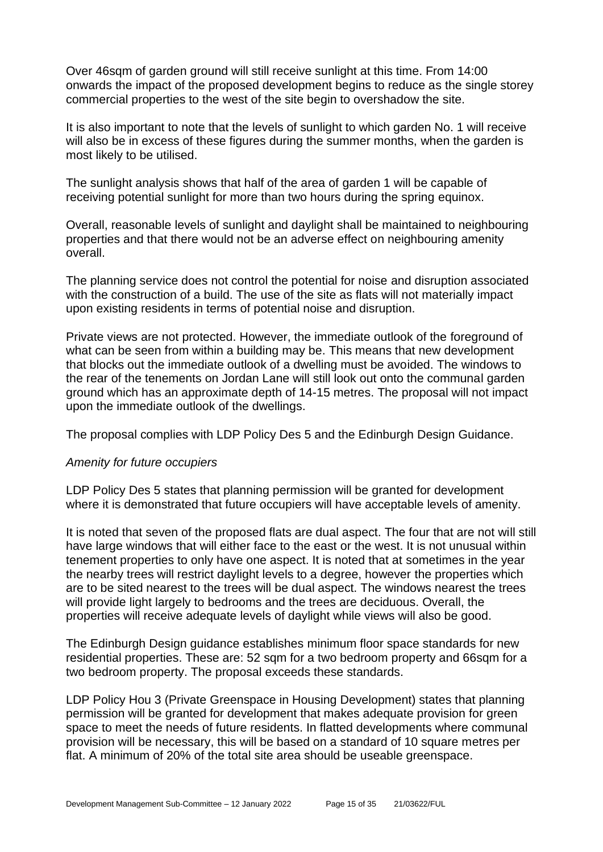Over 46sqm of garden ground will still receive sunlight at this time. From 14:00 onwards the impact of the proposed development begins to reduce as the single storey commercial properties to the west of the site begin to overshadow the site.

It is also important to note that the levels of sunlight to which garden No. 1 will receive will also be in excess of these figures during the summer months, when the garden is most likely to be utilised.

The sunlight analysis shows that half of the area of garden 1 will be capable of receiving potential sunlight for more than two hours during the spring equinox.

Overall, reasonable levels of sunlight and daylight shall be maintained to neighbouring properties and that there would not be an adverse effect on neighbouring amenity overall.

The planning service does not control the potential for noise and disruption associated with the construction of a build. The use of the site as flats will not materially impact upon existing residents in terms of potential noise and disruption.

Private views are not protected. However, the immediate outlook of the foreground of what can be seen from within a building may be. This means that new development that blocks out the immediate outlook of a dwelling must be avoided. The windows to the rear of the tenements on Jordan Lane will still look out onto the communal garden ground which has an approximate depth of 14-15 metres. The proposal will not impact upon the immediate outlook of the dwellings.

The proposal complies with LDP Policy Des 5 and the Edinburgh Design Guidance.

#### *Amenity for future occupiers*

LDP Policy Des 5 states that planning permission will be granted for development where it is demonstrated that future occupiers will have acceptable levels of amenity.

It is noted that seven of the proposed flats are dual aspect. The four that are not will still have large windows that will either face to the east or the west. It is not unusual within tenement properties to only have one aspect. It is noted that at sometimes in the year the nearby trees will restrict daylight levels to a degree, however the properties which are to be sited nearest to the trees will be dual aspect. The windows nearest the trees will provide light largely to bedrooms and the trees are deciduous. Overall, the properties will receive adequate levels of daylight while views will also be good.

The Edinburgh Design guidance establishes minimum floor space standards for new residential properties. These are: 52 sqm for a two bedroom property and 66sqm for a two bedroom property. The proposal exceeds these standards.

LDP Policy Hou 3 (Private Greenspace in Housing Development) states that planning permission will be granted for development that makes adequate provision for green space to meet the needs of future residents. In flatted developments where communal provision will be necessary, this will be based on a standard of 10 square metres per flat. A minimum of 20% of the total site area should be useable greenspace.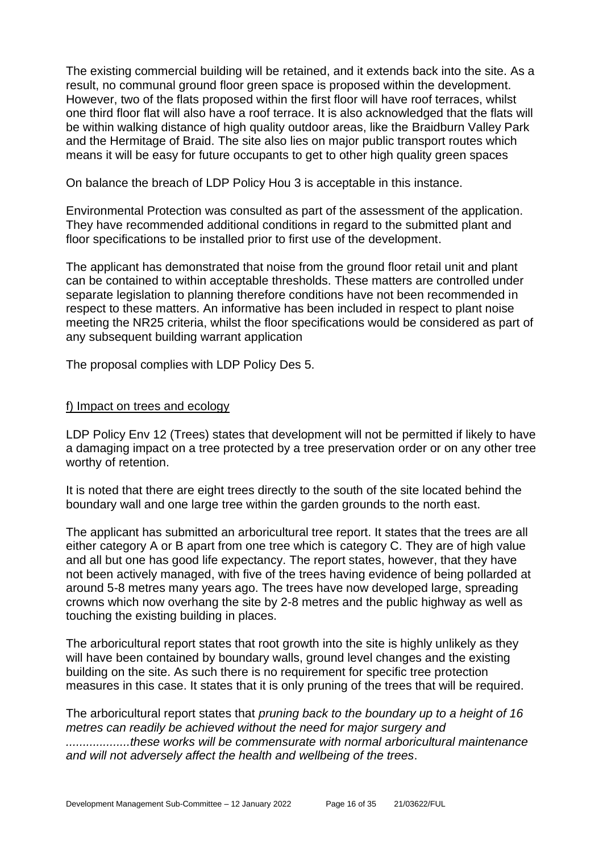The existing commercial building will be retained, and it extends back into the site. As a result, no communal ground floor green space is proposed within the development. However, two of the flats proposed within the first floor will have roof terraces, whilst one third floor flat will also have a roof terrace. It is also acknowledged that the flats will be within walking distance of high quality outdoor areas, like the Braidburn Valley Park and the Hermitage of Braid. The site also lies on major public transport routes which means it will be easy for future occupants to get to other high quality green spaces

On balance the breach of LDP Policy Hou 3 is acceptable in this instance.

Environmental Protection was consulted as part of the assessment of the application. They have recommended additional conditions in regard to the submitted plant and floor specifications to be installed prior to first use of the development.

The applicant has demonstrated that noise from the ground floor retail unit and plant can be contained to within acceptable thresholds. These matters are controlled under separate legislation to planning therefore conditions have not been recommended in respect to these matters. An informative has been included in respect to plant noise meeting the NR25 criteria, whilst the floor specifications would be considered as part of any subsequent building warrant application

The proposal complies with LDP Policy Des 5.

#### f) Impact on trees and ecology

LDP Policy Env 12 (Trees) states that development will not be permitted if likely to have a damaging impact on a tree protected by a tree preservation order or on any other tree worthy of retention.

It is noted that there are eight trees directly to the south of the site located behind the boundary wall and one large tree within the garden grounds to the north east.

The applicant has submitted an arboricultural tree report. It states that the trees are all either category A or B apart from one tree which is category C. They are of high value and all but one has good life expectancy. The report states, however, that they have not been actively managed, with five of the trees having evidence of being pollarded at around 5-8 metres many years ago. The trees have now developed large, spreading crowns which now overhang the site by 2-8 metres and the public highway as well as touching the existing building in places.

The arboricultural report states that root growth into the site is highly unlikely as they will have been contained by boundary walls, ground level changes and the existing building on the site. As such there is no requirement for specific tree protection measures in this case. It states that it is only pruning of the trees that will be required.

The arboricultural report states that *pruning back to the boundary up to a height of 16 metres can readily be achieved without the need for major surgery and ...................these works will be commensurate with normal arboricultural maintenance and will not adversely affect the health and wellbeing of the trees*.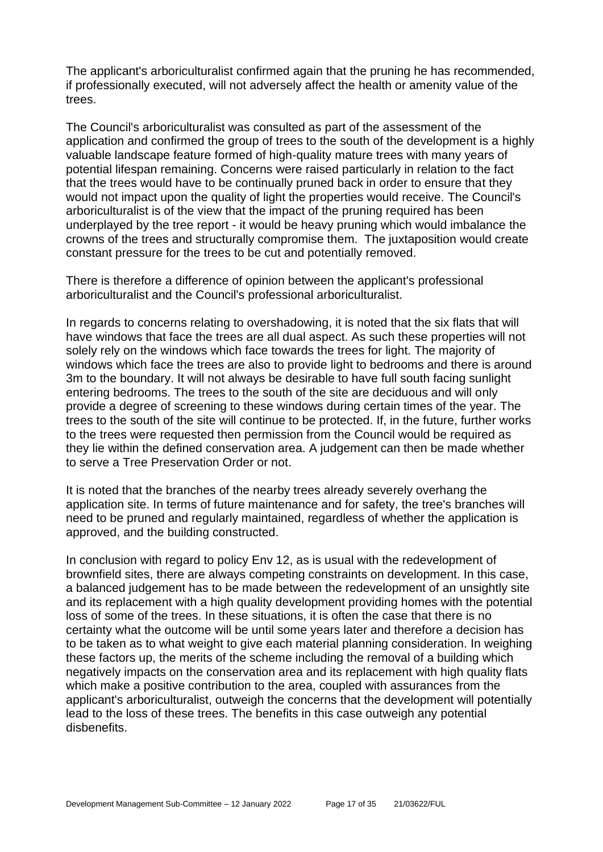The applicant's arboriculturalist confirmed again that the pruning he has recommended, if professionally executed, will not adversely affect the health or amenity value of the trees.

The Council's arboriculturalist was consulted as part of the assessment of the application and confirmed the group of trees to the south of the development is a highly valuable landscape feature formed of high-quality mature trees with many years of potential lifespan remaining. Concerns were raised particularly in relation to the fact that the trees would have to be continually pruned back in order to ensure that they would not impact upon the quality of light the properties would receive. The Council's arboriculturalist is of the view that the impact of the pruning required has been underplayed by the tree report - it would be heavy pruning which would imbalance the crowns of the trees and structurally compromise them. The juxtaposition would create constant pressure for the trees to be cut and potentially removed.

There is therefore a difference of opinion between the applicant's professional arboriculturalist and the Council's professional arboriculturalist.

In regards to concerns relating to overshadowing, it is noted that the six flats that will have windows that face the trees are all dual aspect. As such these properties will not solely rely on the windows which face towards the trees for light. The majority of windows which face the trees are also to provide light to bedrooms and there is around 3m to the boundary. It will not always be desirable to have full south facing sunlight entering bedrooms. The trees to the south of the site are deciduous and will only provide a degree of screening to these windows during certain times of the year. The trees to the south of the site will continue to be protected. If, in the future, further works to the trees were requested then permission from the Council would be required as they lie within the defined conservation area. A judgement can then be made whether to serve a Tree Preservation Order or not.

It is noted that the branches of the nearby trees already severely overhang the application site. In terms of future maintenance and for safety, the tree's branches will need to be pruned and regularly maintained, regardless of whether the application is approved, and the building constructed.

In conclusion with regard to policy Env 12, as is usual with the redevelopment of brownfield sites, there are always competing constraints on development. In this case, a balanced judgement has to be made between the redevelopment of an unsightly site and its replacement with a high quality development providing homes with the potential loss of some of the trees. In these situations, it is often the case that there is no certainty what the outcome will be until some years later and therefore a decision has to be taken as to what weight to give each material planning consideration. In weighing these factors up, the merits of the scheme including the removal of a building which negatively impacts on the conservation area and its replacement with high quality flats which make a positive contribution to the area, coupled with assurances from the applicant's arboriculturalist, outweigh the concerns that the development will potentially lead to the loss of these trees. The benefits in this case outweigh any potential disbenefits.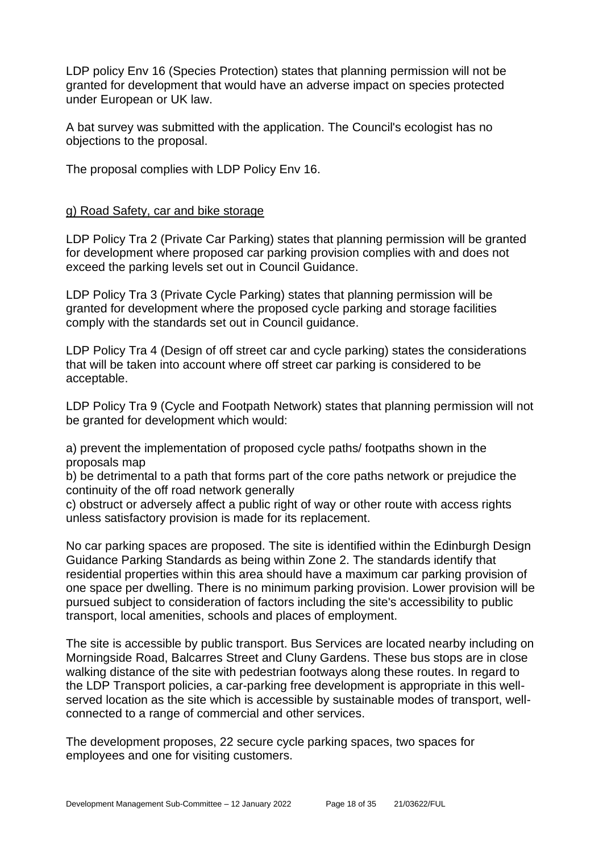LDP policy Env 16 (Species Protection) states that planning permission will not be granted for development that would have an adverse impact on species protected under European or UK law.

A bat survey was submitted with the application. The Council's ecologist has no objections to the proposal.

The proposal complies with LDP Policy Env 16.

#### g) Road Safety, car and bike storage

LDP Policy Tra 2 (Private Car Parking) states that planning permission will be granted for development where proposed car parking provision complies with and does not exceed the parking levels set out in Council Guidance.

LDP Policy Tra 3 (Private Cycle Parking) states that planning permission will be granted for development where the proposed cycle parking and storage facilities comply with the standards set out in Council guidance.

LDP Policy Tra 4 (Design of off street car and cycle parking) states the considerations that will be taken into account where off street car parking is considered to be acceptable.

LDP Policy Tra 9 (Cycle and Footpath Network) states that planning permission will not be granted for development which would:

a) prevent the implementation of proposed cycle paths/ footpaths shown in the proposals map

b) be detrimental to a path that forms part of the core paths network or prejudice the continuity of the off road network generally

c) obstruct or adversely affect a public right of way or other route with access rights unless satisfactory provision is made for its replacement.

No car parking spaces are proposed. The site is identified within the Edinburgh Design Guidance Parking Standards as being within Zone 2. The standards identify that residential properties within this area should have a maximum car parking provision of one space per dwelling. There is no minimum parking provision. Lower provision will be pursued subject to consideration of factors including the site's accessibility to public transport, local amenities, schools and places of employment.

The site is accessible by public transport. Bus Services are located nearby including on Morningside Road, Balcarres Street and Cluny Gardens. These bus stops are in close walking distance of the site with pedestrian footways along these routes. In regard to the LDP Transport policies, a car-parking free development is appropriate in this wellserved location as the site which is accessible by sustainable modes of transport, wellconnected to a range of commercial and other services.

The development proposes, 22 secure cycle parking spaces, two spaces for employees and one for visiting customers.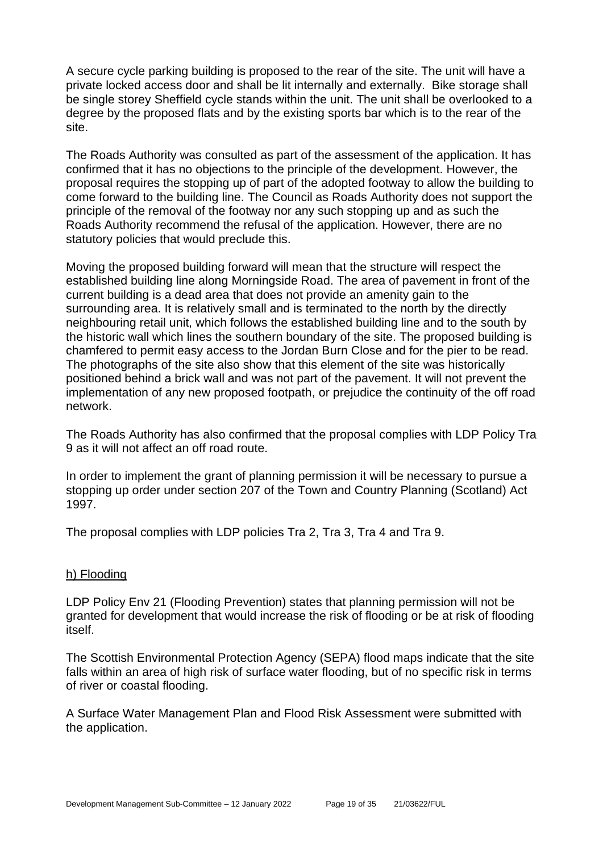A secure cycle parking building is proposed to the rear of the site. The unit will have a private locked access door and shall be lit internally and externally. Bike storage shall be single storey Sheffield cycle stands within the unit. The unit shall be overlooked to a degree by the proposed flats and by the existing sports bar which is to the rear of the site.

The Roads Authority was consulted as part of the assessment of the application. It has confirmed that it has no objections to the principle of the development. However, the proposal requires the stopping up of part of the adopted footway to allow the building to come forward to the building line. The Council as Roads Authority does not support the principle of the removal of the footway nor any such stopping up and as such the Roads Authority recommend the refusal of the application. However, there are no statutory policies that would preclude this.

Moving the proposed building forward will mean that the structure will respect the established building line along Morningside Road. The area of pavement in front of the current building is a dead area that does not provide an amenity gain to the surrounding area. It is relatively small and is terminated to the north by the directly neighbouring retail unit, which follows the established building line and to the south by the historic wall which lines the southern boundary of the site. The proposed building is chamfered to permit easy access to the Jordan Burn Close and for the pier to be read. The photographs of the site also show that this element of the site was historically positioned behind a brick wall and was not part of the pavement. It will not prevent the implementation of any new proposed footpath, or prejudice the continuity of the off road network.

The Roads Authority has also confirmed that the proposal complies with LDP Policy Tra 9 as it will not affect an off road route.

In order to implement the grant of planning permission it will be necessary to pursue a stopping up order under section 207 of the Town and Country Planning (Scotland) Act 1997.

The proposal complies with LDP policies Tra 2, Tra 3, Tra 4 and Tra 9.

#### h) Flooding

LDP Policy Env 21 (Flooding Prevention) states that planning permission will not be granted for development that would increase the risk of flooding or be at risk of flooding itself.

The Scottish Environmental Protection Agency (SEPA) flood maps indicate that the site falls within an area of high risk of surface water flooding, but of no specific risk in terms of river or coastal flooding.

A Surface Water Management Plan and Flood Risk Assessment were submitted with the application.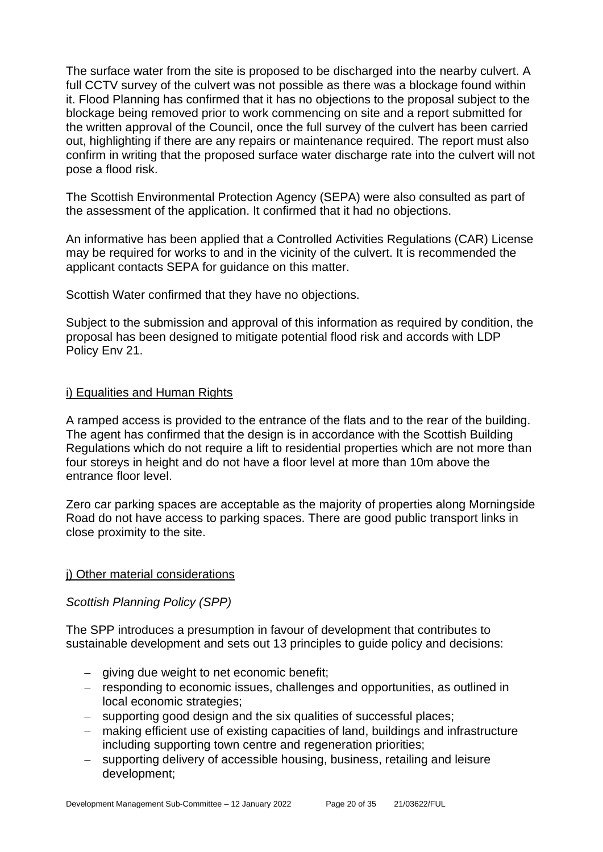The surface water from the site is proposed to be discharged into the nearby culvert. A full CCTV survey of the culvert was not possible as there was a blockage found within it. Flood Planning has confirmed that it has no objections to the proposal subject to the blockage being removed prior to work commencing on site and a report submitted for the written approval of the Council, once the full survey of the culvert has been carried out, highlighting if there are any repairs or maintenance required. The report must also confirm in writing that the proposed surface water discharge rate into the culvert will not pose a flood risk.

The Scottish Environmental Protection Agency (SEPA) were also consulted as part of the assessment of the application. It confirmed that it had no objections.

An informative has been applied that a Controlled Activities Regulations (CAR) License may be required for works to and in the vicinity of the culvert. It is recommended the applicant contacts SEPA for guidance on this matter.

Scottish Water confirmed that they have no objections.

Subject to the submission and approval of this information as required by condition, the proposal has been designed to mitigate potential flood risk and accords with LDP Policy Env 21.

#### i) Equalities and Human Rights

A ramped access is provided to the entrance of the flats and to the rear of the building. The agent has confirmed that the design is in accordance with the Scottish Building Regulations which do not require a lift to residential properties which are not more than four storeys in height and do not have a floor level at more than 10m above the entrance floor level.

Zero car parking spaces are acceptable as the majority of properties along Morningside Road do not have access to parking spaces. There are good public transport links in close proximity to the site.

#### j) Other material considerations

#### *Scottish Planning Policy (SPP)*

The SPP introduces a presumption in favour of development that contributes to sustainable development and sets out 13 principles to guide policy and decisions:

- − giving due weight to net economic benefit;
- − responding to economic issues, challenges and opportunities, as outlined in local economic strategies;
- − supporting good design and the six qualities of successful places;
- − making efficient use of existing capacities of land, buildings and infrastructure including supporting town centre and regeneration priorities;
- − supporting delivery of accessible housing, business, retailing and leisure development;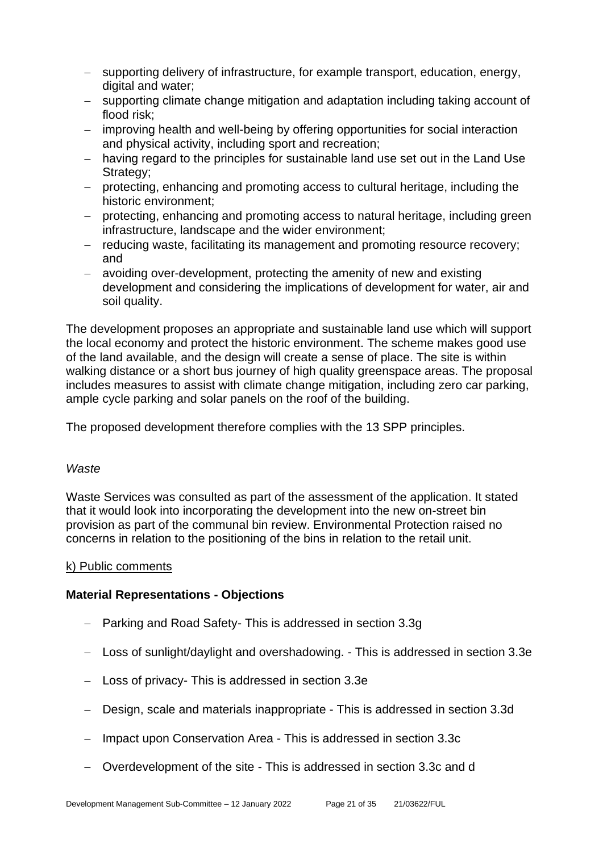- − supporting delivery of infrastructure, for example transport, education, energy, digital and water;
- − supporting climate change mitigation and adaptation including taking account of flood risk;
- − improving health and well-being by offering opportunities for social interaction and physical activity, including sport and recreation;
- − having regard to the principles for sustainable land use set out in the Land Use Strategy:
- − protecting, enhancing and promoting access to cultural heritage, including the historic environment;
- − protecting, enhancing and promoting access to natural heritage, including green infrastructure, landscape and the wider environment;
- − reducing waste, facilitating its management and promoting resource recovery; and
- − avoiding over-development, protecting the amenity of new and existing development and considering the implications of development for water, air and soil quality.

The development proposes an appropriate and sustainable land use which will support the local economy and protect the historic environment. The scheme makes good use of the land available, and the design will create a sense of place. The site is within walking distance or a short bus journey of high quality greenspace areas. The proposal includes measures to assist with climate change mitigation, including zero car parking, ample cycle parking and solar panels on the roof of the building.

The proposed development therefore complies with the 13 SPP principles.

#### *Waste*

Waste Services was consulted as part of the assessment of the application. It stated that it would look into incorporating the development into the new on-street bin provision as part of the communal bin review. Environmental Protection raised no concerns in relation to the positioning of the bins in relation to the retail unit.

#### k) Public comments

#### **Material Representations - Objections**

- − Parking and Road Safety- This is addressed in section 3.3g
- − Loss of sunlight/daylight and overshadowing. This is addressed in section 3.3e
- − Loss of privacy- This is addressed in section 3.3e
- − Design, scale and materials inappropriate This is addressed in section 3.3d
- − Impact upon Conservation Area This is addressed in section 3.3c
- − Overdevelopment of the site This is addressed in section 3.3c and d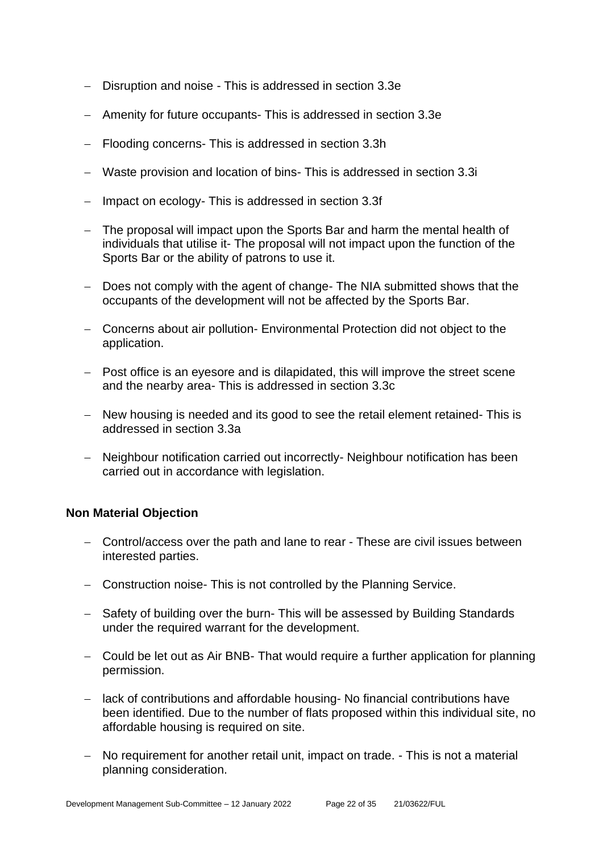- − Disruption and noise This is addressed in section 3.3e
- − Amenity for future occupants- This is addressed in section 3.3e
- − Flooding concerns- This is addressed in section 3.3h
- − Waste provision and location of bins- This is addressed in section 3.3i
- − Impact on ecology- This is addressed in section 3.3f
- − The proposal will impact upon the Sports Bar and harm the mental health of individuals that utilise it- The proposal will not impact upon the function of the Sports Bar or the ability of patrons to use it.
- − Does not comply with the agent of change- The NIA submitted shows that the occupants of the development will not be affected by the Sports Bar.
- − Concerns about air pollution- Environmental Protection did not object to the application.
- − Post office is an eyesore and is dilapidated, this will improve the street scene and the nearby area- This is addressed in section 3.3c
- − New housing is needed and its good to see the retail element retained- This is addressed in section 3.3a
- − Neighbour notification carried out incorrectly- Neighbour notification has been carried out in accordance with legislation.

#### **Non Material Objection**

- − Control/access over the path and lane to rear These are civil issues between interested parties.
- − Construction noise- This is not controlled by the Planning Service.
- − Safety of building over the burn- This will be assessed by Building Standards under the required warrant for the development.
- − Could be let out as Air BNB- That would require a further application for planning permission.
- − lack of contributions and affordable housing- No financial contributions have been identified. Due to the number of flats proposed within this individual site, no affordable housing is required on site.
- − No requirement for another retail unit, impact on trade. This is not a material planning consideration.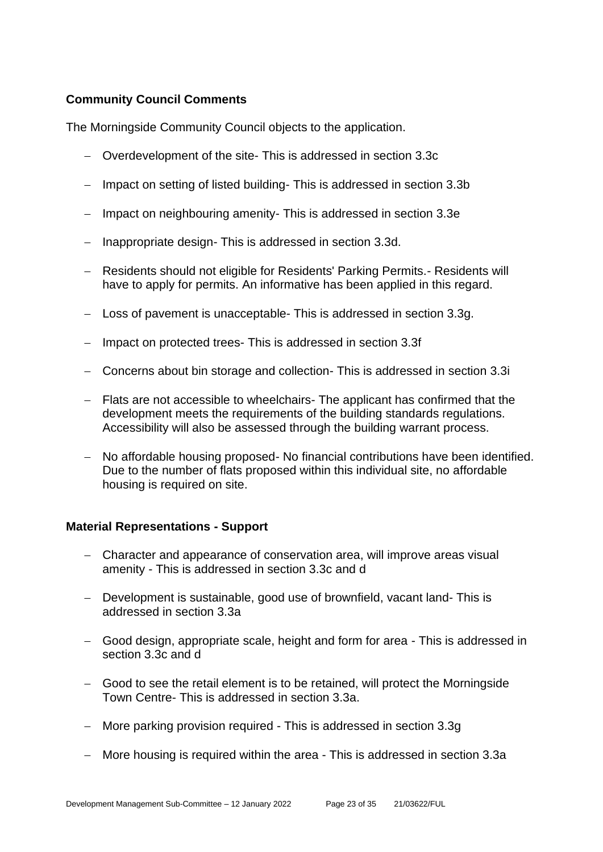#### **Community Council Comments**

The Morningside Community Council objects to the application.

- − Overdevelopment of the site- This is addressed in section 3.3c
- − Impact on setting of listed building- This is addressed in section 3.3b
- − Impact on neighbouring amenity- This is addressed in section 3.3e
- − Inappropriate design- This is addressed in section 3.3d.
- − Residents should not eligible for Residents' Parking Permits.- Residents will have to apply for permits. An informative has been applied in this regard.
- − Loss of pavement is unacceptable- This is addressed in section 3.3g.
- − Impact on protected trees- This is addressed in section 3.3f
- − Concerns about bin storage and collection- This is addressed in section 3.3i
- − Flats are not accessible to wheelchairs- The applicant has confirmed that the development meets the requirements of the building standards regulations. Accessibility will also be assessed through the building warrant process.
- − No affordable housing proposed- No financial contributions have been identified. Due to the number of flats proposed within this individual site, no affordable housing is required on site.

#### **Material Representations - Support**

- − Character and appearance of conservation area, will improve areas visual amenity - This is addressed in section 3.3c and d
- − Development is sustainable, good use of brownfield, vacant land- This is addressed in section 3.3a
- − Good design, appropriate scale, height and form for area This is addressed in section 3.3c and d
- − Good to see the retail element is to be retained, will protect the Morningside Town Centre- This is addressed in section 3.3a.
- − More parking provision required This is addressed in section 3.3g
- − More housing is required within the area This is addressed in section 3.3a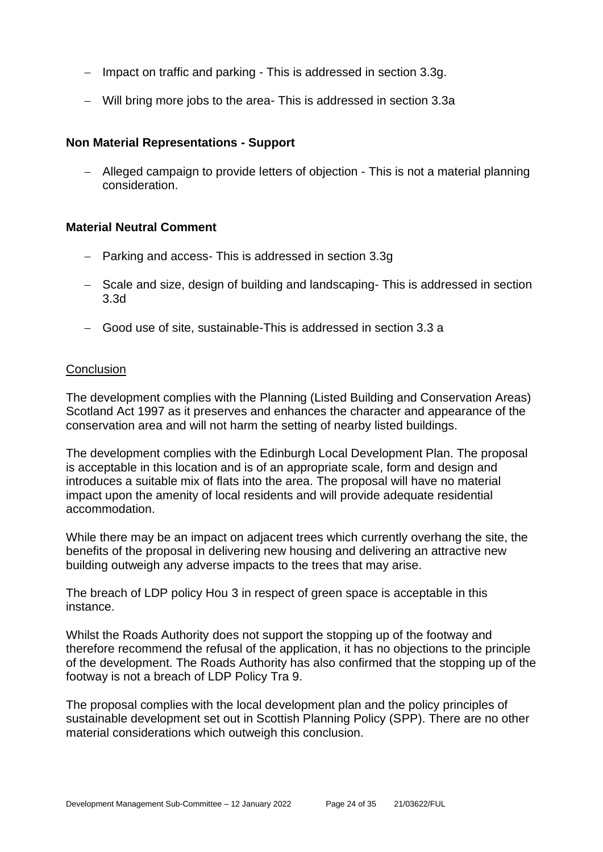- − Impact on traffic and parking This is addressed in section 3.3g.
- − Will bring more jobs to the area- This is addressed in section 3.3a

#### **Non Material Representations - Support**

− Alleged campaign to provide letters of objection - This is not a material planning consideration.

#### **Material Neutral Comment**

- − Parking and access- This is addressed in section 3.3g
- − Scale and size, design of building and landscaping- This is addressed in section 3.3d
- − Good use of site, sustainable-This is addressed in section 3.3 a

#### **Conclusion**

The development complies with the Planning (Listed Building and Conservation Areas) Scotland Act 1997 as it preserves and enhances the character and appearance of the conservation area and will not harm the setting of nearby listed buildings.

The development complies with the Edinburgh Local Development Plan. The proposal is acceptable in this location and is of an appropriate scale, form and design and introduces a suitable mix of flats into the area. The proposal will have no material impact upon the amenity of local residents and will provide adequate residential accommodation.

While there may be an impact on adjacent trees which currently overhang the site, the benefits of the proposal in delivering new housing and delivering an attractive new building outweigh any adverse impacts to the trees that may arise.

The breach of LDP policy Hou 3 in respect of green space is acceptable in this instance.

Whilst the Roads Authority does not support the stopping up of the footway and therefore recommend the refusal of the application, it has no objections to the principle of the development. The Roads Authority has also confirmed that the stopping up of the footway is not a breach of LDP Policy Tra 9.

The proposal complies with the local development plan and the policy principles of sustainable development set out in Scottish Planning Policy (SPP). There are no other material considerations which outweigh this conclusion.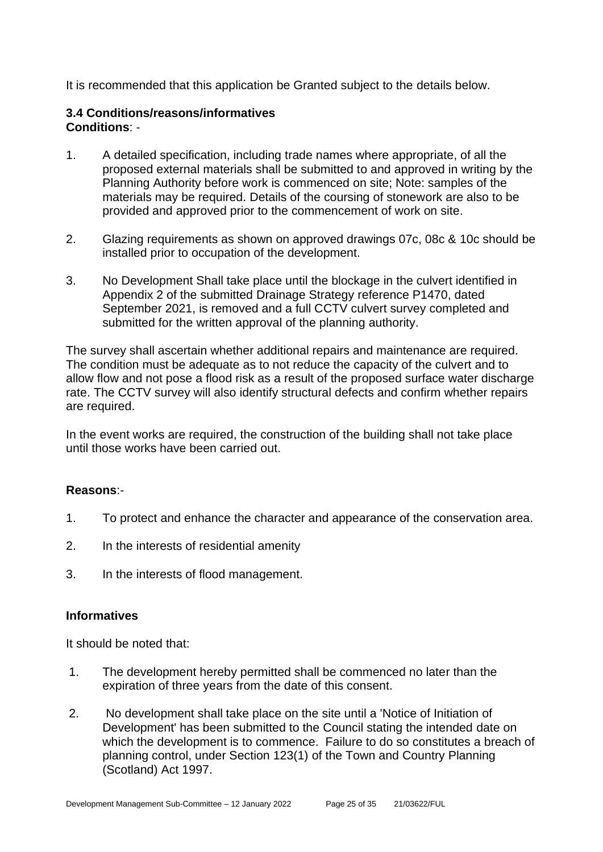It is recommended that this application be Granted subject to the details below.

#### **3.4 Conditions/reasons/informatives Conditions**: -

- 1. A detailed specification, including trade names where appropriate, of all the proposed external materials shall be submitted to and approved in writing by the Planning Authority before work is commenced on site; Note: samples of the materials may be required. Details of the coursing of stonework are also to be provided and approved prior to the commencement of work on site.
- 2. Glazing requirements as shown on approved drawings 07c, 08c & 10c should be installed prior to occupation of the development.
- 3. No Development Shall take place until the blockage in the culvert identified in Appendix 2 of the submitted Drainage Strategy reference P1470, dated September 2021, is removed and a full CCTV culvert survey completed and submitted for the written approval of the planning authority.

The survey shall ascertain whether additional repairs and maintenance are required. The condition must be adequate as to not reduce the capacity of the culvert and to allow flow and not pose a flood risk as a result of the proposed surface water discharge rate. The CCTV survey will also identify structural defects and confirm whether repairs are required.

In the event works are required, the construction of the building shall not take place until those works have been carried out.

#### **Reasons**:-

- 1. To protect and enhance the character and appearance of the conservation area.
- 2. In the interests of residential amenity
- 3. In the interests of flood management.

#### **Informatives**

It should be noted that:

- 1. The development hereby permitted shall be commenced no later than the expiration of three years from the date of this consent.
- 2. No development shall take place on the site until a 'Notice of Initiation of Development' has been submitted to the Council stating the intended date on which the development is to commence. Failure to do so constitutes a breach of planning control, under Section 123(1) of the Town and Country Planning (Scotland) Act 1997.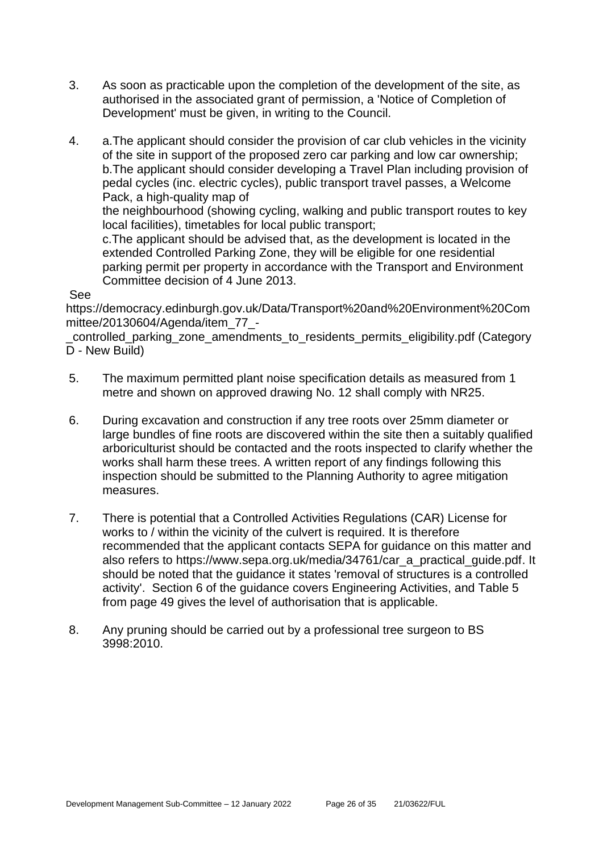- 3. As soon as practicable upon the completion of the development of the site, as authorised in the associated grant of permission, a 'Notice of Completion of Development' must be given, in writing to the Council.
- 4. a.The applicant should consider the provision of car club vehicles in the vicinity of the site in support of the proposed zero car parking and low car ownership; b.The applicant should consider developing a Travel Plan including provision of pedal cycles (inc. electric cycles), public transport travel passes, a Welcome Pack, a high-quality map of

the neighbourhood (showing cycling, walking and public transport routes to key local facilities), timetables for local public transport;

c.The applicant should be advised that, as the development is located in the extended Controlled Parking Zone, they will be eligible for one residential parking permit per property in accordance with the Transport and Environment Committee decision of 4 June 2013.

#### See

https://democracy.edinburgh.gov.uk/Data/Transport%20and%20Environment%20Com mittee/20130604/Agenda/item\_77\_-

\_controlled\_parking\_zone\_amendments\_to\_residents\_permits\_eligibility.pdf (Category D - New Build)

- 5. The maximum permitted plant noise specification details as measured from 1 metre and shown on approved drawing No. 12 shall comply with NR25.
- 6. During excavation and construction if any tree roots over 25mm diameter or large bundles of fine roots are discovered within the site then a suitably qualified arboriculturist should be contacted and the roots inspected to clarify whether the works shall harm these trees. A written report of any findings following this inspection should be submitted to the Planning Authority to agree mitigation measures.
- 7. There is potential that a Controlled Activities Regulations (CAR) License for works to / within the vicinity of the culvert is required. It is therefore recommended that the applicant contacts SEPA for guidance on this matter and also refers to https://www.sepa.org.uk/media/34761/car\_a\_practical\_guide.pdf. It should be noted that the guidance it states 'removal of structures is a controlled activity'. Section 6 of the guidance covers Engineering Activities, and Table 5 from page 49 gives the level of authorisation that is applicable.
- 8. Any pruning should be carried out by a professional tree surgeon to BS 3998:2010.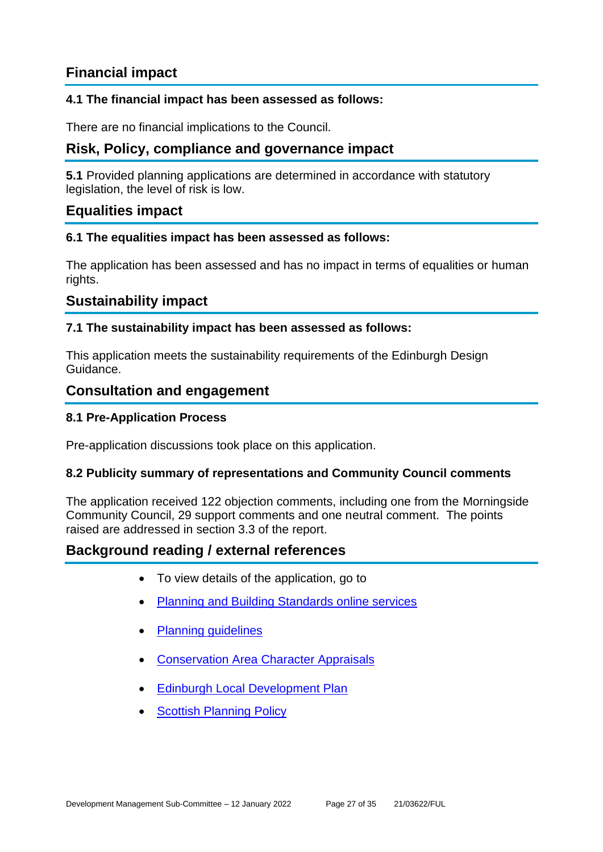## **Financial impact**

#### **4.1 The financial impact has been assessed as follows:**

There are no financial implications to the Council.

## **Risk, Policy, compliance and governance impact**

**5.1** Provided planning applications are determined in accordance with statutory legislation, the level of risk is low.

#### **Equalities impact**

#### **6.1 The equalities impact has been assessed as follows:**

The application has been assessed and has no impact in terms of equalities or human rights.

#### **Sustainability impact**

#### **7.1 The sustainability impact has been assessed as follows:**

This application meets the sustainability requirements of the Edinburgh Design Guidance.

#### **Consultation and engagement**

#### **8.1 Pre-Application Process**

Pre-application discussions took place on this application.

#### **8.2 Publicity summary of representations and Community Council comments**

The application received 122 objection comments, including one from the Morningside Community Council, 29 support comments and one neutral comment. The points raised are addressed in section 3.3 of the report.

#### **Background reading / external references**

- To view details of the application, go to
- **[Planning and Building Standards online services](https://citydev-portal.edinburgh.gov.uk/idoxpa-web/search.do?action=simple&searchType=Application)**
- [Planning guidelines](http://www.edinburgh.gov.uk/planningguidelines)
- [Conservation Area Character Appraisals](http://www.edinburgh.gov.uk/characterappraisals)
- [Edinburgh Local Development Plan](http://www.edinburgh.gov.uk/localdevelopmentplan)
- **Scottish [Planning Policy](http://www.scotland.gov.uk/Topics/Built-Environment/planning/Policy)**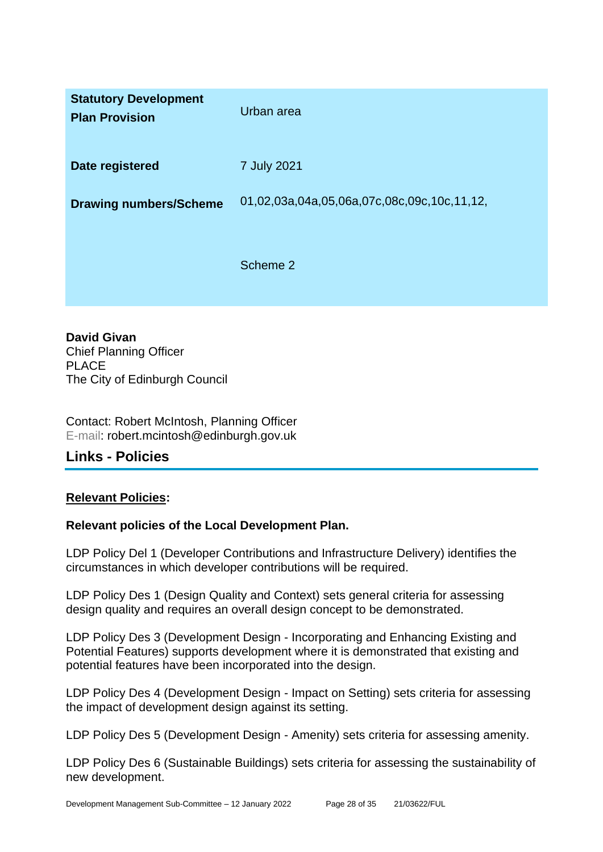| <b>Statutory Development</b><br><b>Plan Provision</b> | Urban area                                  |
|-------------------------------------------------------|---------------------------------------------|
| Date registered                                       | 7 July 2021                                 |
| <b>Drawing numbers/Scheme</b>                         | 01,02,03a,04a,05,06a,07c,08c,09c,10c,11,12, |
|                                                       | Scheme 2                                    |

**David Givan** Chief Planning Officer PLACE The City of Edinburgh Council

Contact: Robert McIntosh, Planning Officer E-mail: robert.mcintosh@edinburgh.gov.uk

## **Links - Policies**

#### **Relevant Policies:**

#### **Relevant policies of the Local Development Plan.**

LDP Policy Del 1 (Developer Contributions and Infrastructure Delivery) identifies the circumstances in which developer contributions will be required.

LDP Policy Des 1 (Design Quality and Context) sets general criteria for assessing design quality and requires an overall design concept to be demonstrated.

LDP Policy Des 3 (Development Design - Incorporating and Enhancing Existing and Potential Features) supports development where it is demonstrated that existing and potential features have been incorporated into the design.

LDP Policy Des 4 (Development Design - Impact on Setting) sets criteria for assessing the impact of development design against its setting.

LDP Policy Des 5 (Development Design - Amenity) sets criteria for assessing amenity.

LDP Policy Des 6 (Sustainable Buildings) sets criteria for assessing the sustainability of new development.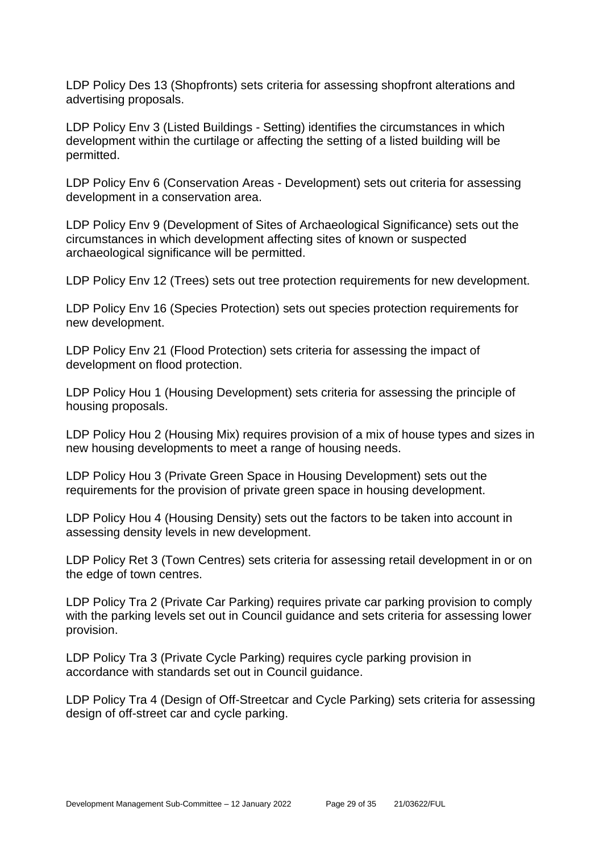LDP Policy Des 13 (Shopfronts) sets criteria for assessing shopfront alterations and advertising proposals.

LDP Policy Env 3 (Listed Buildings - Setting) identifies the circumstances in which development within the curtilage or affecting the setting of a listed building will be permitted.

LDP Policy Env 6 (Conservation Areas - Development) sets out criteria for assessing development in a conservation area.

LDP Policy Env 9 (Development of Sites of Archaeological Significance) sets out the circumstances in which development affecting sites of known or suspected archaeological significance will be permitted.

LDP Policy Env 12 (Trees) sets out tree protection requirements for new development.

LDP Policy Env 16 (Species Protection) sets out species protection requirements for new development.

LDP Policy Env 21 (Flood Protection) sets criteria for assessing the impact of development on flood protection.

LDP Policy Hou 1 (Housing Development) sets criteria for assessing the principle of housing proposals.

LDP Policy Hou 2 (Housing Mix) requires provision of a mix of house types and sizes in new housing developments to meet a range of housing needs.

LDP Policy Hou 3 (Private Green Space in Housing Development) sets out the requirements for the provision of private green space in housing development.

LDP Policy Hou 4 (Housing Density) sets out the factors to be taken into account in assessing density levels in new development.

LDP Policy Ret 3 (Town Centres) sets criteria for assessing retail development in or on the edge of town centres.

LDP Policy Tra 2 (Private Car Parking) requires private car parking provision to comply with the parking levels set out in Council guidance and sets criteria for assessing lower provision.

LDP Policy Tra 3 (Private Cycle Parking) requires cycle parking provision in accordance with standards set out in Council guidance.

LDP Policy Tra 4 (Design of Off-Streetcar and Cycle Parking) sets criteria for assessing design of off-street car and cycle parking.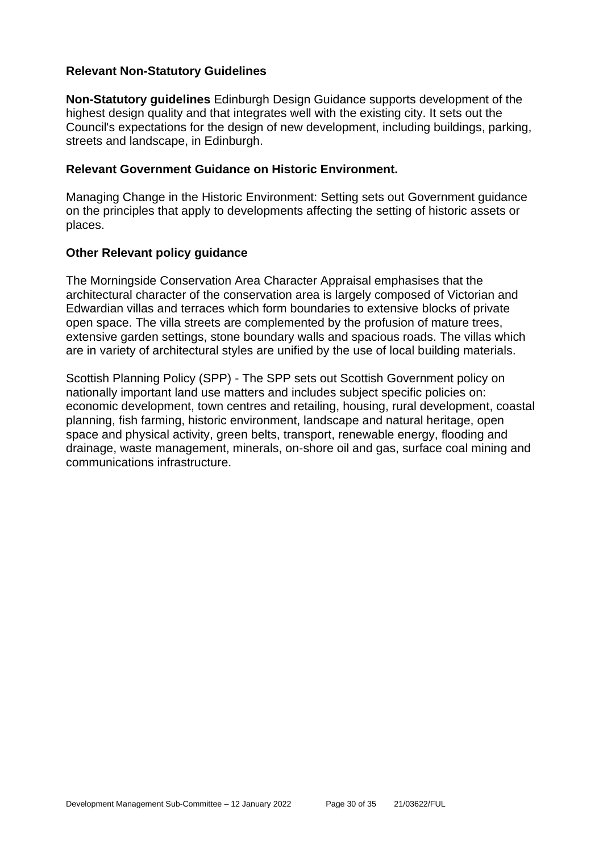#### **Relevant Non-Statutory Guidelines**

**Non-Statutory guidelines** Edinburgh Design Guidance supports development of the highest design quality and that integrates well with the existing city. It sets out the Council's expectations for the design of new development, including buildings, parking, streets and landscape, in Edinburgh.

#### **Relevant Government Guidance on Historic Environment.**

Managing Change in the Historic Environment: Setting sets out Government guidance on the principles that apply to developments affecting the setting of historic assets or places.

#### **Other Relevant policy guidance**

The Morningside Conservation Area Character Appraisal emphasises that the architectural character of the conservation area is largely composed of Victorian and Edwardian villas and terraces which form boundaries to extensive blocks of private open space. The villa streets are complemented by the profusion of mature trees, extensive garden settings, stone boundary walls and spacious roads. The villas which are in variety of architectural styles are unified by the use of local building materials.

Scottish Planning Policy (SPP) - The SPP sets out Scottish Government policy on nationally important land use matters and includes subject specific policies on: economic development, town centres and retailing, housing, rural development, coastal planning, fish farming, historic environment, landscape and natural heritage, open space and physical activity, green belts, transport, renewable energy, flooding and drainage, waste management, minerals, on-shore oil and gas, surface coal mining and communications infrastructure.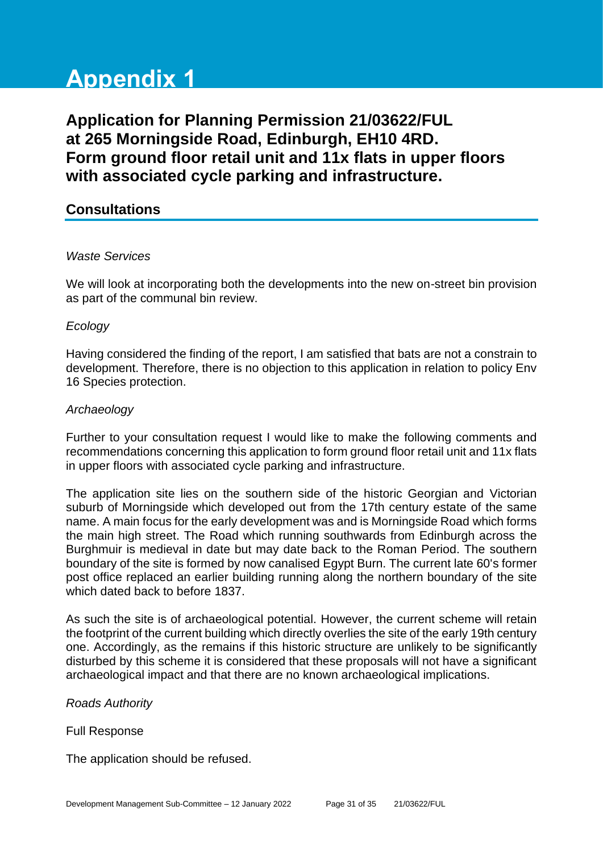# **Appendix 1**

**Application for Planning Permission 21/03622/FUL at 265 Morningside Road, Edinburgh, EH10 4RD. Form ground floor retail unit and 11x flats in upper floors with associated cycle parking and infrastructure.**

#### **Consultations**

#### *Waste Services*

We will look at incorporating both the developments into the new on-street bin provision as part of the communal bin review.

#### *Ecology*

Having considered the finding of the report, I am satisfied that bats are not a constrain to development. Therefore, there is no objection to this application in relation to policy Env 16 Species protection.

#### *Archaeology*

Further to your consultation request I would like to make the following comments and recommendations concerning this application to form ground floor retail unit and 11x flats in upper floors with associated cycle parking and infrastructure.

The application site lies on the southern side of the historic Georgian and Victorian suburb of Morningside which developed out from the 17th century estate of the same name. A main focus for the early development was and is Morningside Road which forms the main high street. The Road which running southwards from Edinburgh across the Burghmuir is medieval in date but may date back to the Roman Period. The southern boundary of the site is formed by now canalised Egypt Burn. The current late 60's former post office replaced an earlier building running along the northern boundary of the site which dated back to before 1837.

As such the site is of archaeological potential. However, the current scheme will retain the footprint of the current building which directly overlies the site of the early 19th century one. Accordingly, as the remains if this historic structure are unlikely to be significantly disturbed by this scheme it is considered that these proposals will not have a significant archaeological impact and that there are no known archaeological implications.

#### *Roads Authority*

#### Full Response

The application should be refused.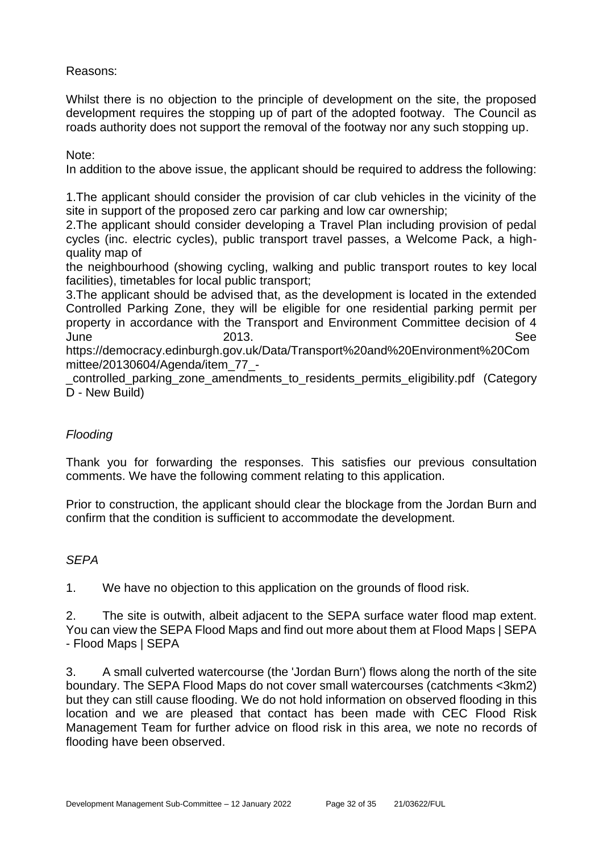Reasons:

Whilst there is no objection to the principle of development on the site, the proposed development requires the stopping up of part of the adopted footway. The Council as roads authority does not support the removal of the footway nor any such stopping up.

Note:

In addition to the above issue, the applicant should be required to address the following:

1.The applicant should consider the provision of car club vehicles in the vicinity of the site in support of the proposed zero car parking and low car ownership;

2.The applicant should consider developing a Travel Plan including provision of pedal cycles (inc. electric cycles), public transport travel passes, a Welcome Pack, a highquality map of

the neighbourhood (showing cycling, walking and public transport routes to key local facilities), timetables for local public transport;

3.The applicant should be advised that, as the development is located in the extended Controlled Parking Zone, they will be eligible for one residential parking permit per property in accordance with the Transport and Environment Committee decision of 4 June 2013. See

https://democracy.edinburgh.gov.uk/Data/Transport%20and%20Environment%20Com mittee/20130604/Agenda/item\_77\_-

\_controlled\_parking\_zone\_amendments\_to\_residents\_permits\_eligibility.pdf (Category D - New Build)

#### *Flooding*

Thank you for forwarding the responses. This satisfies our previous consultation comments. We have the following comment relating to this application.

Prior to construction, the applicant should clear the blockage from the Jordan Burn and confirm that the condition is sufficient to accommodate the development.

#### *SEPA*

1. We have no objection to this application on the grounds of flood risk.

2. The site is outwith, albeit adjacent to the SEPA surface water flood map extent. You can view the SEPA Flood Maps and find out more about them at Flood Maps | SEPA - Flood Maps | SEPA

3. A small culverted watercourse (the 'Jordan Burn') flows along the north of the site boundary. The SEPA Flood Maps do not cover small watercourses (catchments <3km2) but they can still cause flooding. We do not hold information on observed flooding in this location and we are pleased that contact has been made with CEC Flood Risk Management Team for further advice on flood risk in this area, we note no records of flooding have been observed.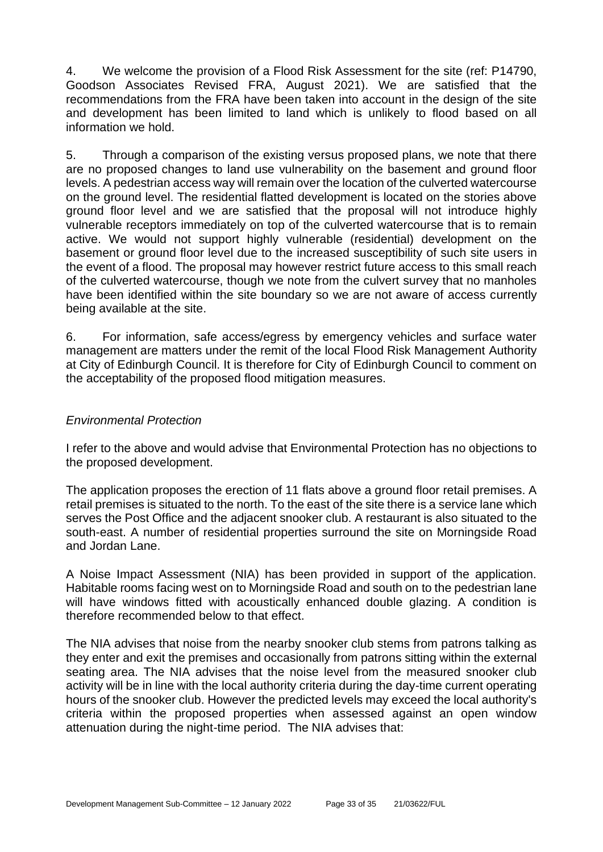4. We welcome the provision of a Flood Risk Assessment for the site (ref: P14790, Goodson Associates Revised FRA, August 2021). We are satisfied that the recommendations from the FRA have been taken into account in the design of the site and development has been limited to land which is unlikely to flood based on all information we hold.

5. Through a comparison of the existing versus proposed plans, we note that there are no proposed changes to land use vulnerability on the basement and ground floor levels. A pedestrian access way will remain over the location of the culverted watercourse on the ground level. The residential flatted development is located on the stories above ground floor level and we are satisfied that the proposal will not introduce highly vulnerable receptors immediately on top of the culverted watercourse that is to remain active. We would not support highly vulnerable (residential) development on the basement or ground floor level due to the increased susceptibility of such site users in the event of a flood. The proposal may however restrict future access to this small reach of the culverted watercourse, though we note from the culvert survey that no manholes have been identified within the site boundary so we are not aware of access currently being available at the site.

6. For information, safe access/egress by emergency vehicles and surface water management are matters under the remit of the local Flood Risk Management Authority at City of Edinburgh Council. It is therefore for City of Edinburgh Council to comment on the acceptability of the proposed flood mitigation measures.

#### *Environmental Protection*

I refer to the above and would advise that Environmental Protection has no objections to the proposed development.

The application proposes the erection of 11 flats above a ground floor retail premises. A retail premises is situated to the north. To the east of the site there is a service lane which serves the Post Office and the adjacent snooker club. A restaurant is also situated to the south-east. A number of residential properties surround the site on Morningside Road and Jordan Lane.

A Noise Impact Assessment (NIA) has been provided in support of the application. Habitable rooms facing west on to Morningside Road and south on to the pedestrian lane will have windows fitted with acoustically enhanced double glazing. A condition is therefore recommended below to that effect.

The NIA advises that noise from the nearby snooker club stems from patrons talking as they enter and exit the premises and occasionally from patrons sitting within the external seating area. The NIA advises that the noise level from the measured snooker club activity will be in line with the local authority criteria during the day-time current operating hours of the snooker club. However the predicted levels may exceed the local authority's criteria within the proposed properties when assessed against an open window attenuation during the night-time period. The NIA advises that: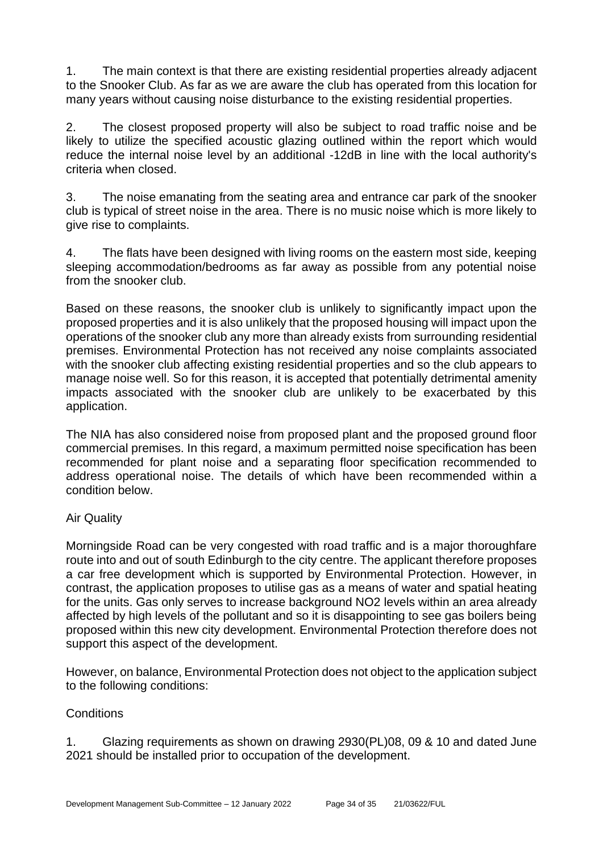1. The main context is that there are existing residential properties already adjacent to the Snooker Club. As far as we are aware the club has operated from this location for many years without causing noise disturbance to the existing residential properties.

2. The closest proposed property will also be subject to road traffic noise and be likely to utilize the specified acoustic glazing outlined within the report which would reduce the internal noise level by an additional -12dB in line with the local authority's criteria when closed.

3. The noise emanating from the seating area and entrance car park of the snooker club is typical of street noise in the area. There is no music noise which is more likely to give rise to complaints.

4. The flats have been designed with living rooms on the eastern most side, keeping sleeping accommodation/bedrooms as far away as possible from any potential noise from the snooker club.

Based on these reasons, the snooker club is unlikely to significantly impact upon the proposed properties and it is also unlikely that the proposed housing will impact upon the operations of the snooker club any more than already exists from surrounding residential premises. Environmental Protection has not received any noise complaints associated with the snooker club affecting existing residential properties and so the club appears to manage noise well. So for this reason, it is accepted that potentially detrimental amenity impacts associated with the snooker club are unlikely to be exacerbated by this application.

The NIA has also considered noise from proposed plant and the proposed ground floor commercial premises. In this regard, a maximum permitted noise specification has been recommended for plant noise and a separating floor specification recommended to address operational noise. The details of which have been recommended within a condition below.

#### Air Quality

Morningside Road can be very congested with road traffic and is a major thoroughfare route into and out of south Edinburgh to the city centre. The applicant therefore proposes a car free development which is supported by Environmental Protection. However, in contrast, the application proposes to utilise gas as a means of water and spatial heating for the units. Gas only serves to increase background NO2 levels within an area already affected by high levels of the pollutant and so it is disappointing to see gas boilers being proposed within this new city development. Environmental Protection therefore does not support this aspect of the development.

However, on balance, Environmental Protection does not object to the application subject to the following conditions:

#### **Conditions**

1. Glazing requirements as shown on drawing 2930(PL)08, 09 & 10 and dated June 2021 should be installed prior to occupation of the development.